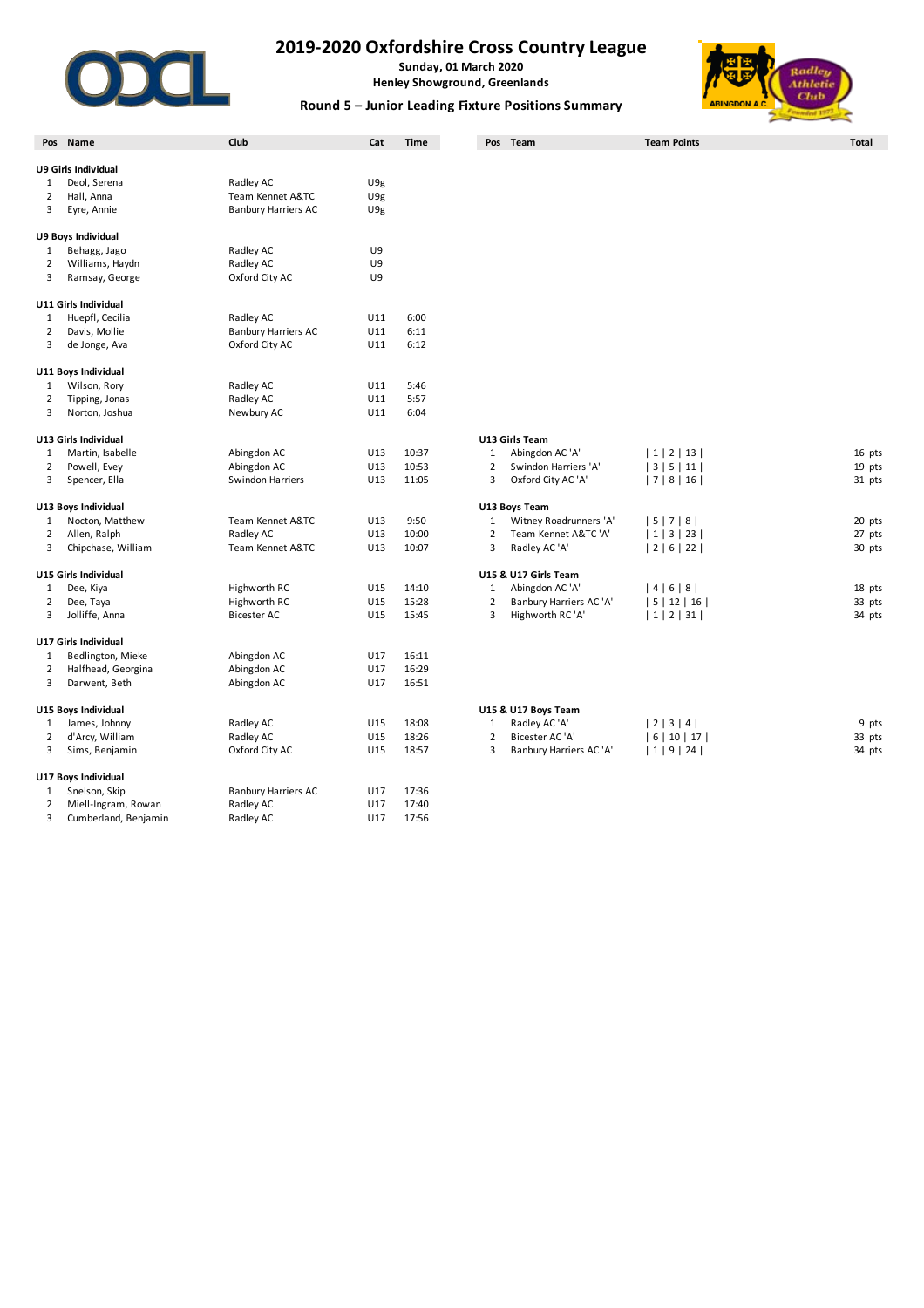

**Sunday, 01 March 2020 Henley Showground, Greenlands**



#### **Round 5 – Junior Leading Fixture Positions Summary**

|                | Pos Name                    | Club                               | Cat             | <b>Time</b> |                | Pos Team                                    | <b>Team Points</b>  | <b>Total</b> |
|----------------|-----------------------------|------------------------------------|-----------------|-------------|----------------|---------------------------------------------|---------------------|--------------|
|                |                             |                                    |                 |             |                |                                             |                     |              |
|                | U9 Girls Individual         |                                    |                 |             |                |                                             |                     |              |
| 1              | Deol, Serena                | Radley AC                          | U <sub>9g</sub> |             |                |                                             |                     |              |
| $\overline{2}$ | Hall, Anna                  | Team Kennet A&TC                   | U9g             |             |                |                                             |                     |              |
| 3              | Eyre, Annie                 | <b>Banbury Harriers AC</b>         | U <sub>9g</sub> |             |                |                                             |                     |              |
|                | U9 Boys Individual          |                                    |                 |             |                |                                             |                     |              |
| 1              | Behagg, Jago                | Radley AC                          | U9              |             |                |                                             |                     |              |
| $\overline{2}$ | Williams, Haydn             | Radley AC                          | U9              |             |                |                                             |                     |              |
| 3              | Ramsay, George              | Oxford City AC                     | U9              |             |                |                                             |                     |              |
|                | U11 Girls Individual        |                                    |                 |             |                |                                             |                     |              |
| 1              | Huepfl, Cecilia             | Radley AC                          | U11             | 6:00        |                |                                             |                     |              |
| 2              | Davis, Mollie               | <b>Banbury Harriers AC</b>         | U11             | 6:11        |                |                                             |                     |              |
| 3              | de Jonge, Ava               | Oxford City AC                     | U11             | 6:12        |                |                                             |                     |              |
|                |                             |                                    |                 |             |                |                                             |                     |              |
|                | U11 Boys Individual         |                                    |                 |             |                |                                             |                     |              |
| 1              | Wilson, Rory                | Radley AC                          | U11             | 5:46        |                |                                             |                     |              |
| 2              | Tipping, Jonas              | Radley AC                          | U11             | 5:57        |                |                                             |                     |              |
| 3              | Norton, Joshua              | Newbury AC                         | U11             | 6:04        |                |                                             |                     |              |
|                | U13 Girls Individual        |                                    |                 |             |                | U13 Girls Team                              |                     |              |
| 1              | Martin, Isabelle            | Abingdon AC                        | U13             | 10:37       | $\mathbf{1}$   | Abingdon AC 'A'                             | 1 2 13              | 16 pts       |
| $\overline{2}$ | Powell, Evey                | Abingdon AC                        | U13             | 10:53       | $\overline{2}$ | Swindon Harriers 'A'                        | 3 5 11              | 19 pts       |
| 3              | Spencer, Ella               | <b>Swindon Harriers</b>            | U13             | 11:05       | 3              | Oxford City AC 'A'                          | 7 8 16              | 31 pts       |
|                | U13 Boys Individual         |                                    |                 |             |                | U13 Boys Team                               |                     |              |
| 1              | Nocton, Matthew             | Team Kennet A&TC                   | U13             | 9:50        | $\mathbf{1}$   | Witney Roadrunners 'A'                      | 5 7 8               | 20 pts       |
| 2              | Allen, Ralph                | Radley AC                          | U13             | 10:00       | $\overline{2}$ | Team Kennet A&TC 'A'                        | 1 3 23              | 27 pts       |
| 3              | Chipchase, William          | Team Kennet A&TC                   | U13             | 10:07       | 3              | Radley AC 'A'                               | 2 6 22              | 30 pts       |
|                | U15 Girls Individual        |                                    |                 |             |                | U15 & U17 Girls Team                        |                     |              |
| 1              | Dee, Kiya                   | Highworth RC                       | U15             | 14:10       | $\mathbf{1}$   | Abingdon AC 'A'                             | 4 6 8               | 18 pts       |
|                |                             |                                    | U15             | 15:28       | $\overline{2}$ |                                             |                     | 33 pts       |
| 2<br>3         | Dee, Taya<br>Jolliffe, Anna | Highworth RC<br><b>Bicester AC</b> | U15             | 15:45       | 3              | Banbury Harriers AC 'A'<br>Highworth RC 'A' | 5 12 16 <br> 1 2 31 | 34 pts       |
|                |                             |                                    |                 |             |                |                                             |                     |              |
|                | U17 Girls Individual        |                                    |                 |             |                |                                             |                     |              |
| 1              | Bedlington, Mieke           | Abingdon AC                        | U17             | 16:11       |                |                                             |                     |              |
| $\overline{2}$ | Halfhead, Georgina          | Abingdon AC                        | U17             | 16:29       |                |                                             |                     |              |
| 3              | Darwent, Beth               | Abingdon AC                        | U17             | 16:51       |                |                                             |                     |              |
|                | U15 Boys Individual         |                                    |                 |             |                | U15 & U17 Boys Team                         |                     |              |
| 1              | James, Johnny               | Radley AC                          | U15             | 18:08       | $\mathbf 1$    | Radley AC 'A'                               | 2 3 4               | 9 pts        |
| 2              | d'Arcy, William             | Radley AC                          | U15             | 18:26       | $\overline{2}$ | Bicester AC 'A'                             | 6   10   17         | 33 pts       |
| 3              | Sims, Benjamin              | Oxford City AC                     | U15             | 18:57       | 3              | Banbury Harriers AC 'A'                     | 1 9 24              | 34 pts       |
|                | U17 Boys Individual         |                                    |                 |             |                |                                             |                     |              |
| 1              | Snelson, Skip               | <b>Banbury Harriers AC</b>         | U17             | 17:36       |                |                                             |                     |              |
| $\overline{2}$ | Miell-Ingram, Rowan         | Radley AC                          | U17             | 17:40       |                |                                             |                     |              |
| 3              | Cumberland, Benjamin        | Radley AC                          | U17             | 17:56       |                |                                             |                     |              |
|                |                             |                                    |                 |             |                |                                             |                     |              |

| 3 Girls Team    |  |
|-----------------|--|
| Abingdon AC 'A' |  |
|                 |  |

|    | Powell, Evey       | Abingdon AC      | U13 | 10:53 |   | Swindon Harriers 'A'    | 3   5   11  | 19 pts |
|----|--------------------|------------------|-----|-------|---|-------------------------|-------------|--------|
| 3  | Spencer, Ella      | Swindon Harriers | U13 | 11:05 | 3 | Oxford City AC 'A'      | 7 8 16      | 31 pts |
|    | 3 Boys Individual  |                  |     |       |   | U13 Boys Team           |             |        |
|    | Nocton, Matthew    | Team Kennet A&TC | U13 | 9:50  |   | Witney Roadrunners 'A'  | 5   7   8   | 20 pts |
|    | Allen, Ralph       | Radley AC        | U13 | 10:00 |   | Team Kennet A&TC 'A'    | 1   3   23  | 27 pts |
| 3. | Chipchase, William | Team Kennet A&TC | U13 | 10:07 |   | Radley AC 'A'           | 2   6   22  | 30 pts |
|    | 5 Girls Individual |                  |     |       |   | U15 & U17 Girls Team    |             |        |
|    | Dee, Kiya          | Highworth RC     | U15 | 14:10 |   | Abingdon AC 'A'         | 4   6   8   | 18 pts |
|    | Dee, Taya          | Highworth RC     | U15 | 15:28 |   | Banbury Harriers AC 'A' | 5   12   16 | 33 pts |
| 3  | Jolliffe, Anna     | Bicester AC      | U15 | 15:45 |   | Highworth RC 'A'        | 1   2   31  | 34 pts |
|    |                    |                  |     |       |   |                         |             |        |

| 15 & U17 Boys Team |  |
|--------------------|--|
| $D = A A$          |  |

| .J DUYS IIIUIVIUUAI |                |     |       | <b>ULJ &amp; ULI DUVS I CAIII</b> |             |        |  |  |
|---------------------|----------------|-----|-------|-----------------------------------|-------------|--------|--|--|
| James, Johnny       | Radlev AC      | U15 | 18:08 | Radley AC 'A'                     | 2 3 4       | 9 pts  |  |  |
| d'Arcy, William     | Radlev AC      | U15 | 18:26 | Bicester AC 'A'                   | 6   10   17 | 33 pts |  |  |
| Sims, Benjamin      | Oxford City AC | U15 | 18:57 | Banbury Harriers AC 'A'           | 1   9   24  | 34 pts |  |  |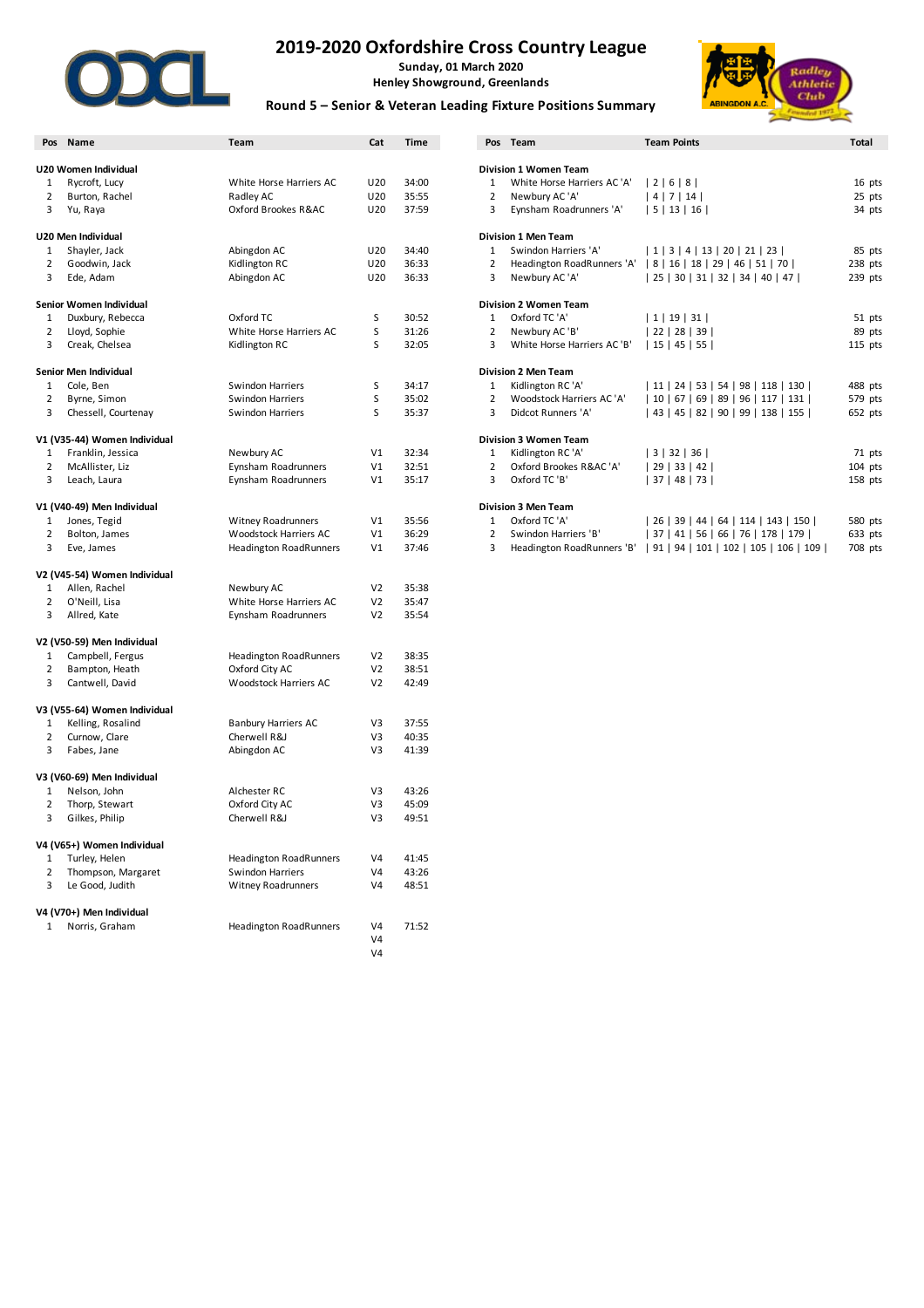

**Sunday, 01 March 2020 Henley Showground, Greenlands**



### **Round 5 – Senior & Veteran Leading Fixture Positions Summary**

|                | Pos Name                     | Team                          | Cat             | <b>Time</b> |                | Pos Team                     | <b>Team Points</b>                    | Total     |
|----------------|------------------------------|-------------------------------|-----------------|-------------|----------------|------------------------------|---------------------------------------|-----------|
|                | U20 Women Individual         |                               |                 |             |                | Division 1 Women Team        |                                       |           |
| 1              | Rycroft, Lucy                | White Horse Harriers AC       | U20             | 34:00       | $\mathbf{1}$   | White Horse Harriers AC 'A'  | 2 6 8                                 | 16 pts    |
| $\overline{2}$ | Burton, Rachel               | Radley AC                     | U20             | 35:55       | $\overline{2}$ | Newbury AC 'A'               | 4 7 14                                | 25 pts    |
|                |                              |                               |                 |             |                |                              |                                       |           |
| 3              | Yu, Raya                     | Oxford Brookes R&AC           | U20             | 37:59       | 3              | Eynsham Roadrunners 'A'      | 5 13 16                               | 34 pts    |
|                | U20 Men Individual           |                               |                 |             |                | <b>Division 1 Men Team</b>   |                                       |           |
| 1              | Shayler, Jack                | Abingdon AC                   | U <sub>20</sub> | 34:40       | $\mathbf{1}$   | Swindon Harriers 'A'         | 1   3   4   13   20   21   23         | 85 pts    |
| 2              | Goodwin, Jack                | Kidlington RC                 | U20             | 36:33       | $\overline{2}$ | Headington RoadRunners 'A'   | 8   16   18   29   46   51   70       | 238 pts   |
| 3              | Ede, Adam                    | Abingdon AC                   | U20             | 36:33       | 3              | Newbury AC 'A'               | 25   30   31   32   34   40   47      | 239 pts   |
|                |                              |                               |                 |             |                |                              |                                       |           |
|                | Senior Women Individual      |                               |                 |             |                | Division 2 Women Team        |                                       |           |
| 1              | Duxbury, Rebecca             | Oxford TC                     | S               | 30:52       | $\mathbf{1}$   | Oxford TC 'A'                | 1   19   31                           | 51 pts    |
| 2              | Lloyd, Sophie                | White Horse Harriers AC       | S               | 31:26       | $\overline{2}$ | Newbury AC 'B'               | 22 28 39                              | 89 pts    |
| 3              | Creak, Chelsea               | Kidlington RC                 | S               | 32:05       | 3              | White Horse Harriers AC 'B'  | 15 45 55                              | 115 pts   |
|                | Senior Men Individual        |                               |                 |             |                | <b>Division 2 Men Team</b>   |                                       |           |
| 1              | Cole, Ben                    | Swindon Harriers              | S               | 34:17       | $\mathbf{1}$   | Kidlington RC 'A'            | 11   24   53   54   98   118   130    | 488 pts   |
| 2              | Byrne, Simon                 | Swindon Harriers              | S               | 35:02       | $\overline{2}$ | Woodstock Harriers AC 'A'    | 10   67   69   89   96   117   131    | 579 pts   |
| 3              | Chessell, Courtenay          | Swindon Harriers              | S               | 35:37       | 3              | Didcot Runners 'A'           | 43   45   82   90   99   138   155    | 652 pts   |
|                |                              |                               |                 |             |                |                              |                                       |           |
|                | V1 (V35-44) Women Individual |                               |                 |             |                | <b>Division 3 Women Team</b> |                                       |           |
| $\mathbf{1}$   | Franklin, Jessica            | Newbury AC                    | V1              | 32:34       | $\mathbf{1}$   | Kidlington RC 'A'            | 3 32 36                               | 71 pts    |
| 2              | McAllister, Liz              | Eynsham Roadrunners           | V1              | 32:51       | $\overline{2}$ | Oxford Brookes R&AC 'A'      | 29 33 42                              | $104$ pts |
| 3              | Leach, Laura                 | Eynsham Roadrunners           | V1              | 35:17       | 3              | Oxford TC 'B'                | 37 48 73                              | 158 pts   |
|                |                              |                               |                 |             |                |                              |                                       |           |
|                | V1 (V40-49) Men Individual   |                               |                 |             |                | <b>Division 3 Men Team</b>   |                                       |           |
| 1              | Jones, Tegid                 | <b>Witney Roadrunners</b>     | V1              | 35:56       | $\mathbf{1}$   | Oxford TC 'A'                | 26   39   44   64   114   143   150   | 580 pts   |
| 2              | Bolton, James                | Woodstock Harriers AC         | V1              | 36:29       | $\overline{2}$ | Swindon Harriers 'B'         | 37   41   56   66   76   178   179    | 633 pts   |
| 3              | Eve, James                   | <b>Headington RoadRunners</b> | V1              | 37:46       | 3              | Headington RoadRunners 'B'   | 91   94   101   102   105   106   109 | 708 pts   |
|                | V2 (V45-54) Women Individual |                               |                 |             |                |                              |                                       |           |
| $\mathbf{1}$   | Allen, Rachel                | Newbury AC                    | V <sub>2</sub>  | 35:38       |                |                              |                                       |           |
| 2              | O'Neill, Lisa                | White Horse Harriers AC       | V <sub>2</sub>  | 35:47       |                |                              |                                       |           |
| 3              | Allred, Kate                 | Eynsham Roadrunners           | V <sub>2</sub>  | 35:54       |                |                              |                                       |           |
|                |                              |                               |                 |             |                |                              |                                       |           |
|                | V2 (V50-59) Men Individual   |                               |                 |             |                |                              |                                       |           |
| 1              | Campbell, Fergus             | Headington RoadRunners        | V <sub>2</sub>  | 38:35       |                |                              |                                       |           |
| 2              | Bampton, Heath               | Oxford City AC                | V <sub>2</sub>  | 38:51       |                |                              |                                       |           |
| 3              | Cantwell, David              | Woodstock Harriers AC         | V <sub>2</sub>  | 42:49       |                |                              |                                       |           |
|                |                              |                               |                 |             |                |                              |                                       |           |
|                | V3 (V55-64) Women Individual |                               |                 |             |                |                              |                                       |           |
| 1              | Kelling, Rosalind            | <b>Banbury Harriers AC</b>    | V3              | 37:55       |                |                              |                                       |           |
| 2              | Curnow, Clare                | Cherwell R&J                  | V3              | 40:35       |                |                              |                                       |           |
| 3              | Fabes, Jane                  | Abingdon AC                   | V3              | 41:39       |                |                              |                                       |           |
|                | V3 (V60-69) Men Individual   |                               |                 |             |                |                              |                                       |           |
| 1              | Nelson, John                 | Alchester RC                  | V3              | 43:26       |                |                              |                                       |           |
| 2              | Thorp, Stewart               | Oxford City AC                | V3              | 45:09       |                |                              |                                       |           |
| 3              | Gilkes, Philip               | Cherwell R&J                  | V3              | 49:51       |                |                              |                                       |           |
|                |                              |                               |                 |             |                |                              |                                       |           |
|                | V4 (V65+) Women Individual   |                               |                 |             |                |                              |                                       |           |
| 1              | Turley, Helen                | <b>Headington RoadRunners</b> | V <sub>4</sub>  | 41:45       |                |                              |                                       |           |
| 2              | Thompson, Margaret           | Swindon Harriers              | V <sub>4</sub>  | 43:26       |                |                              |                                       |           |
| 3              | Le Good, Judith              | <b>Witney Roadrunners</b>     | V <sub>4</sub>  | 48:51       |                |                              |                                       |           |
|                | V4 (V70+) Men Individual     |                               |                 |             |                |                              |                                       |           |
| 1              | Norris, Graham               | Headington RoadRunners        | V <sub>4</sub>  | 71:52       |                |                              |                                       |           |
|                |                              |                               | V <sub>4</sub>  |             |                |                              |                                       |           |
|                |                              |                               | V <sub>4</sub>  |             |                |                              |                                       |           |
|                |                              |                               |                 |             |                |                              |                                       |           |

|   | 'os Name                  | Team                      | Cat             | <b>Time</b> | Pos            | Team                         | <b>Team Points</b>                  | Total     |
|---|---------------------------|---------------------------|-----------------|-------------|----------------|------------------------------|-------------------------------------|-----------|
|   |                           |                           |                 |             |                |                              |                                     |           |
|   | 0 Women Individual        |                           |                 |             |                | <b>Division 1 Women Team</b> |                                     |           |
|   | Rycroft, Lucy             | White Horse Harriers AC   | U20             | 34:00       |                | White Horse Harriers AC 'A'  | 2   6   8                           | 16 pts    |
|   | Burton, Rachel            | Radley AC                 | U <sub>20</sub> | 35:55       | $\overline{2}$ | Newbury AC 'A'               | 4   7   14                          | 25 pts    |
| 3 | Yu, Raya                  | Oxford Brookes R&AC       | U <sub>20</sub> | 37:59       | 3              | Eynsham Roadrunners 'A'      | 5   13   16                         | 34 pts    |
|   | 0 Men Individual          |                           |                 |             |                | <b>Division 1 Men Team</b>   |                                     |           |
|   | Shayler, Jack             | Abingdon AC               | U20             | 34:40       | 1              | Swindon Harriers 'A'         | 1   3   4   13   20   21   23       | 85 pts    |
| 2 | Goodwin, Jack             | Kidlington RC             | U <sub>20</sub> | 36:33       | $\overline{2}$ | Headington RoadRunners 'A'   | 8   16   18   29   46   51   70     | 238 pts   |
| 3 | Ede, Adam                 | Abingdon AC               | U20             | 36:33       | 3              | Newbury AC 'A'               | 25   30   31   32   34   40   47    | 239 pts   |
|   | nior Women Individual     |                           |                 |             |                | <b>Division 2 Women Team</b> |                                     |           |
|   | Duxbury, Rebecca          | Oxford TC                 | S               | 30:52       | 1              | Oxford TC 'A'                | 1   19   31                         | 51 pts    |
| 2 | Lloyd, Sophie             | White Horse Harriers AC   | S               | 31:26       | $\overline{2}$ | Newbury AC'B'                | 28   39  <br>22                     | 89 pts    |
| 3 | Creak, Chelsea            | Kidlington RC             | S               | 32:05       | 3              | White Horse Harriers AC 'B'  | 15   45   55                        | $115$ pts |
|   | nior Men Individual       |                           |                 |             |                | <b>Division 2 Men Team</b>   |                                     |           |
|   | Cole, Ben                 | Swindon Harriers          | S               | 34:17       | 1              | Kidlington RC 'A'            | 11   24   53   54   98   118   130  | 488 pts   |
| 2 | Byrne, Simon              | <b>Swindon Harriers</b>   | S               | 35:02       | $\overline{2}$ | Woodstock Harriers AC 'A'    | 10   67   69   89   96   117   131  | 579 pts   |
| 3 | Chessell, Courtenay       | <b>Swindon Harriers</b>   | S               | 35:37       | 3              | Didcot Runners 'A'           | 43   45   82   90   99   138   155  | 652 pts   |
|   | (V35-44) Women Individual |                           |                 |             |                | <b>Division 3 Women Team</b> |                                     |           |
|   | Franklin, Jessica         | Newbury AC                | V <sub>1</sub>  | 32:34       |                | Kidlington RC 'A'            | $32 \mid$<br>3 <br>36               | 71 pts    |
|   | McAllister, Liz           | Eynsham Roadrunners       | V <sub>1</sub>  | 32:51       |                | Oxford Brookes R&AC 'A'      | 29   33   42                        | $104$ pts |
| 3 | Leach, Laura              | Eynsham Roadrunners       | V <sub>1</sub>  | 35:17       | 3              | Oxford TC 'B'                | 37 <br>48   73                      | $158$ pts |
|   | (V40-49) Men Individual   |                           |                 |             |                | <b>Division 3 Men Team</b>   |                                     |           |
|   | Jones, Tegid              | <b>Witney Roadrunners</b> | V <sub>1</sub>  | 35:56       | 1              | Oxford TC 'A'                | 26   39   44   64   114   143   150 | 580 pts   |

| 2 Swindon Harriers 'B'                                               |  | 37   41   56   66   76   178   179 |  |  | 633 pt |  |
|----------------------------------------------------------------------|--|------------------------------------|--|--|--------|--|
| 3 Headington RoadRunners 'B'   91   94   101   102   105   106   109 |  |                                    |  |  | 708 pt |  |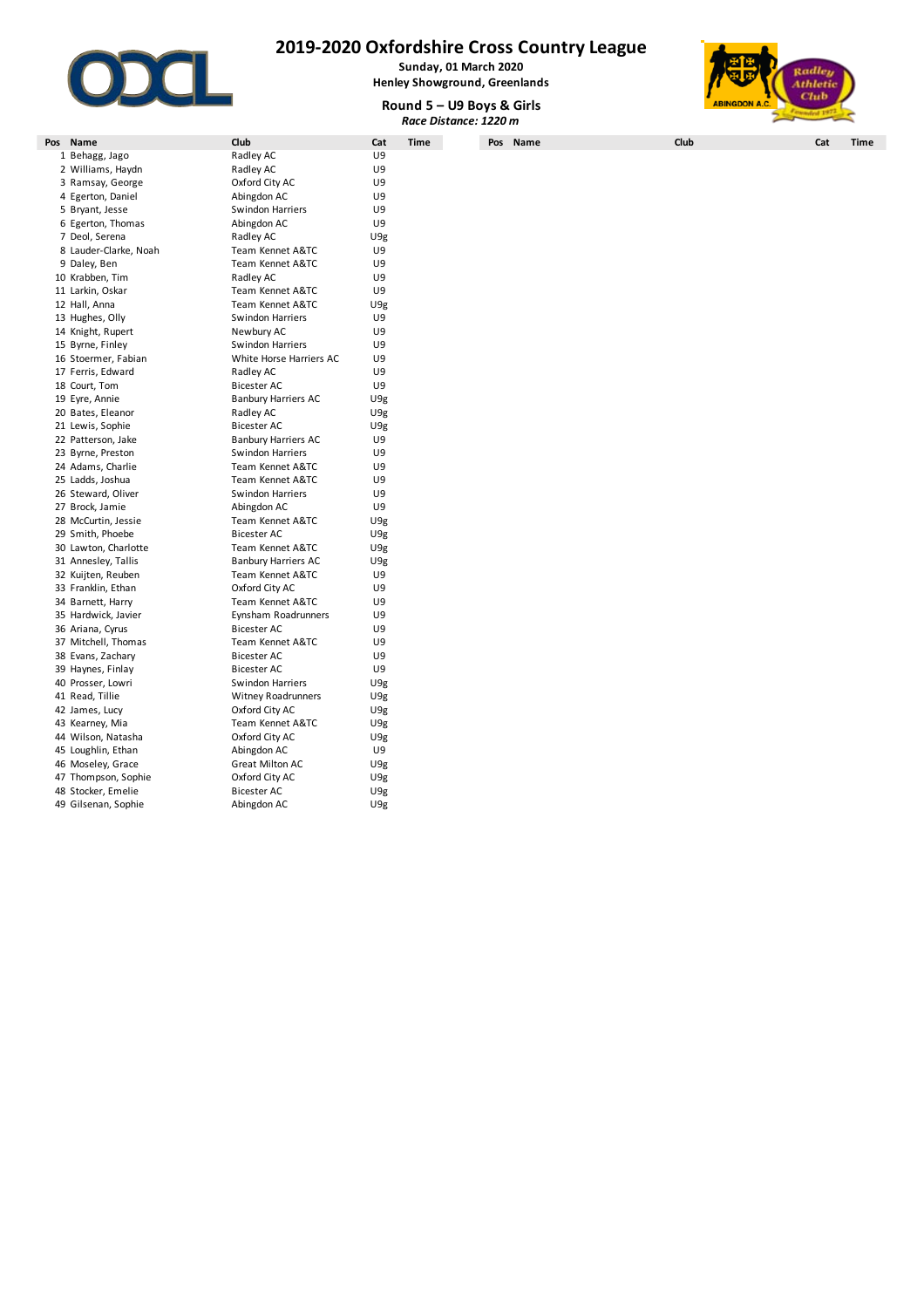

**Sunday, 01 March 2020 Henley Showground, Greenlands**





**Pos Name Club Cat Time Pos Name Club Cat Time** 1 Behagg, Jago Radley AC U9 2 Williams, Haydn **Radley AC 1988**<br>
2 Ramsay, George **COM** Oxford City AC 1998 3 Ramsay, George **22 Conservant City AC City AC City AC** U9<br>4 Egerton, Daniel **Abingdon AC** U9 4 Egerton, Daniel **Abingdon AC** U9<br>5 Bryant, Jesse **Abingdon Harriers** U9 5 Bryant, Jesse Swindon Harriers U9 6 Egerton, Thomas 7 Deol, Serena **Carlos Exercise States Act ACC** C9g<br>8 Lauder-Clarke. Noah **Radley ACC** C99 Team Kennet A&TC U9 8 Lauder-Clarke, Noah Team Kennet A&TC U9 9 Daley, Ben **Team Kennet A&TC** U9 10 Krabben. Tim Radley AC U9 11 Larkin, Oskar Team Kennet A&TC U9 12 Team Kennet A&TC U9g<br>
12 Swindon Harriers U9 13 Hughes, Olly Swindon Harriers U9<br>14 Knight, Rupert Newbury AC U9 14 Knight, Rupert 15 Byrne, Finley Swindon Harriers UP<br>16 Stoermer, Fabian Milte Horse Harriers AC UP White Horse Harriers AC 17 Ferris, Edward **Radley AC** U9 18 Court, Tom Bicester AC U9 19 Eyre, Annie Banbury Harriers AC U9g 20 Bates, Eleanor **Radley AC** U9g 21 Lewis, Sophie Bicester AC U9g 22 Banbury Harriers AC U9<br>22 Swindon Harriers CU9 23 Byrne, Preston Swindon Harriers U9<br>24 Adams, Charlie Camera Cheam Kennet A&TC U9 24 Team Kennet A&TC U9<br>24 Team Kennet A&TC U9 25 Ladds, Joshua Team Kennet A&TC U9 26 Steward, Oliver 27 Brock, Jamie **Abingdon AC** U9<br>28 McCurtin, Jessie **ABING Team Kennet A&TC** U9e 28 McCurtin, Jessie Team Kennet A&TC U9g 29 Smith, Phoebe Bicester AC U9g 30 Lawton, Charlotte Team Kennet A&TC U9g 31 Annesley, Tallis **Banbury Harriers AC** U9g<br>32 Kuijten, Reuben **Bankers Harriers ABAC** U9 32 Team Kennet A&TC U9<br>32 Oxford City AC U9 33 Franklin, Ethan **Came Container Container City AC** U9<br>34 Barnett, Harry **Came Container Container Container Container Container Container Container Container Contain** 34 Barnett, Harry **Team Kennet A&TC**<br>35 Hardwick, Javier **Team Kennet A&TC** Eynsham Roadrunners U9<br>35 Bicester AC U9 36 Ariana, Cyrus 37 Mitchell, Thomas Team Kennet A&TC U9 38 Evans. Zachary Bicester AC 39 Haynes, Finlay **Bicester AC** U9 40 Prosser, Lowri Swindon Harriers U9g 41 Read, Tillie **Witney Roadrunners** U9g<br>42 James, Lucy **New York City AC** U9g 42 James, Lucy Oxford City AC U9g Team Kennet A&TC U9g<br>Oxford City AC U9g 44 Wilson, Natasha 45 Loughlin, Ethan **Abingdon AC** U9<br>46 Moseley, Grace **Abingdon AC** U9<sub>E</sub> 46 Moseley, Grace Great Milton AC U9g<br>47 Thompson, Sophie Corford City AC U9g 47 Thompson, Sophie **Oxford City**<br>48 Stocker Emelie **AC UPS** Bicester AC 48 Stocker, Emelie Bicester AC U9g 49 Gilsenan, Sophie **Abingdon AC** U9g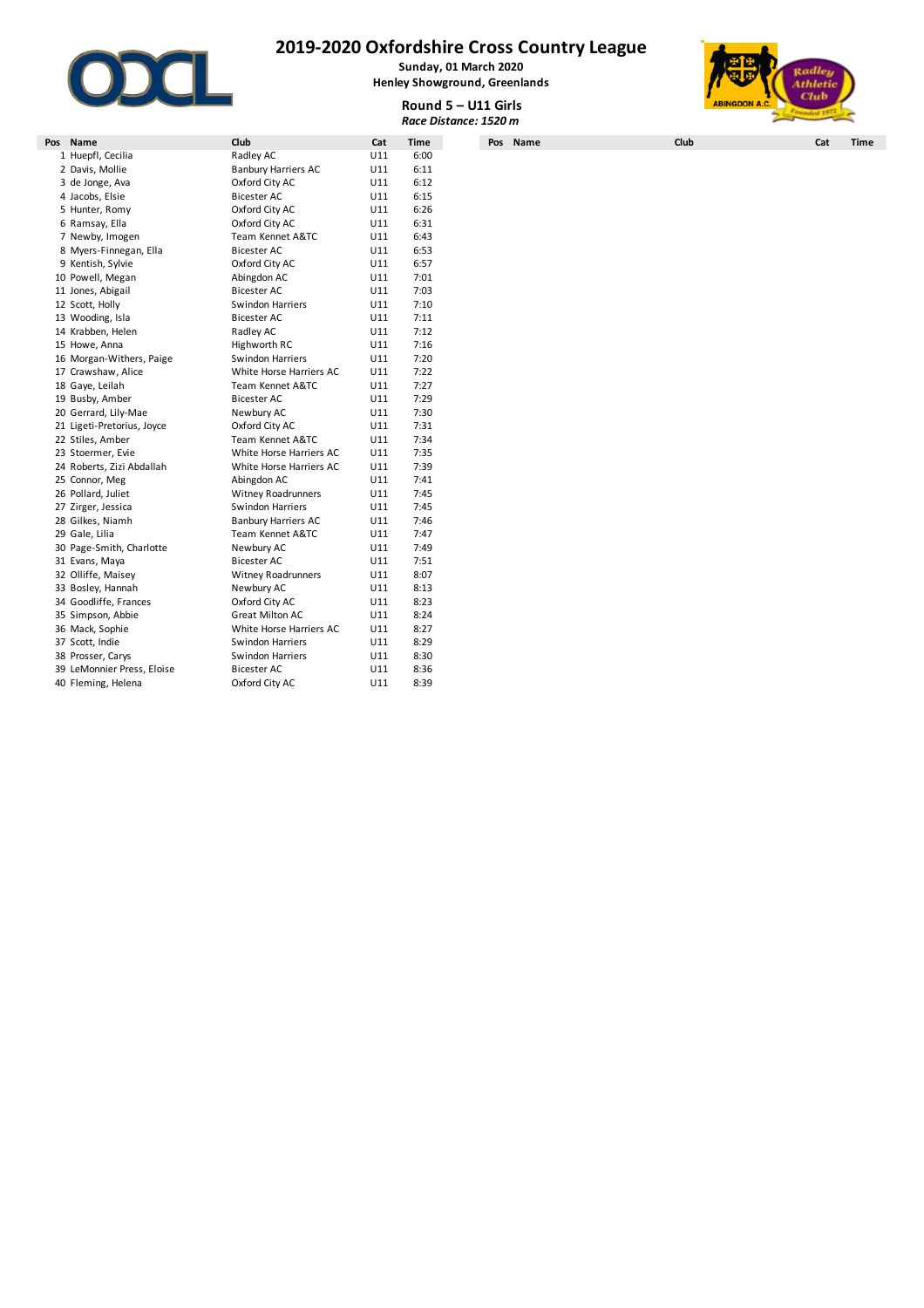

**Sunday, 01 March 2020 Henley Showground, Greenlands**



**Round 5 – U11 Girls** *Race Distance: 1520 m*

|                            |                            |     |      | Round 5 - U11 Girls<br>Race Distance: 1520 m | <b>ABINGDON A.C.</b> | Cuvo               |
|----------------------------|----------------------------|-----|------|----------------------------------------------|----------------------|--------------------|
| Pos Name                   | Club                       | Cat | Time | Pos Name                                     | Club                 | Cat<br><b>Time</b> |
| 1 Huepfl, Cecilia          | Radley AC                  | U11 | 6:00 |                                              |                      |                    |
| 2 Davis, Mollie            | <b>Banbury Harriers AC</b> | U11 | 6:11 |                                              |                      |                    |
| 3 de Jonge, Ava            | Oxford City AC             | U11 | 6:12 |                                              |                      |                    |
| 4 Jacobs, Elsie            | Bicester AC                | U11 | 6:15 |                                              |                      |                    |
| 5 Hunter, Romy             | Oxford City AC             | U11 | 6:26 |                                              |                      |                    |
| 6 Ramsay, Ella             | Oxford City AC             | U11 | 6:31 |                                              |                      |                    |
| 7 Newby, Imogen            | Team Kennet A&TC           | U11 | 6:43 |                                              |                      |                    |
| 8 Myers-Finnegan, Ella     | <b>Bicester AC</b>         | U11 | 6:53 |                                              |                      |                    |
| 9 Kentish, Sylvie          | Oxford City AC             | U11 | 6:57 |                                              |                      |                    |
| 10 Powell, Megan           | Abingdon AC                | U11 | 7:01 |                                              |                      |                    |
| 11 Jones, Abigail          | <b>Bicester AC</b>         | U11 | 7:03 |                                              |                      |                    |
| 12 Scott, Holly            | <b>Swindon Harriers</b>    | U11 | 7:10 |                                              |                      |                    |
| 13 Wooding, Isla           | <b>Bicester AC</b>         | U11 | 7:11 |                                              |                      |                    |
| 14 Krabben, Helen          | Radley AC                  | U11 | 7:12 |                                              |                      |                    |
| 15 Howe, Anna              | Highworth RC               | U11 | 7:16 |                                              |                      |                    |
| 16 Morgan-Withers, Paige   | <b>Swindon Harriers</b>    | U11 | 7:20 |                                              |                      |                    |
| 17 Crawshaw, Alice         | White Horse Harriers AC    | U11 | 7:22 |                                              |                      |                    |
| 18 Gaye, Leilah            | Team Kennet A&TC           | U11 | 7:27 |                                              |                      |                    |
| 19 Busby, Amber            | <b>Bicester AC</b>         | U11 | 7:29 |                                              |                      |                    |
| 20 Gerrard, Lily-Mae       | Newbury AC                 | U11 | 7:30 |                                              |                      |                    |
| 21 Ligeti-Pretorius, Joyce | Oxford City AC             | U11 | 7:31 |                                              |                      |                    |
| 22 Stiles, Amber           | Team Kennet A&TC           | U11 | 7:34 |                                              |                      |                    |
| 23 Stoermer, Evie          | White Horse Harriers AC    | U11 | 7:35 |                                              |                      |                    |
| 24 Roberts, Zizi Abdallah  | White Horse Harriers AC    | U11 | 7:39 |                                              |                      |                    |
| 25 Connor, Meg             | Abingdon AC                | U11 | 7:41 |                                              |                      |                    |
| 26 Pollard, Juliet         | Witney Roadrunners         | U11 | 7:45 |                                              |                      |                    |
| 27 Zirger, Jessica         | Swindon Harriers           | U11 | 7:45 |                                              |                      |                    |
| 28 Gilkes, Niamh           | <b>Banbury Harriers AC</b> | U11 | 7:46 |                                              |                      |                    |
| 29 Gale, Lilia             | Team Kennet A&TC           | U11 | 7:47 |                                              |                      |                    |
| 30 Page-Smith, Charlotte   | Newbury AC                 | U11 | 7:49 |                                              |                      |                    |
| 31 Evans, Maya             | <b>Bicester AC</b>         | U11 | 7:51 |                                              |                      |                    |
| 32 Olliffe, Maisey         | <b>Witney Roadrunners</b>  | U11 | 8:07 |                                              |                      |                    |
| 33 Bosley, Hannah          | Newbury AC                 | U11 | 8:13 |                                              |                      |                    |
| 34 Goodliffe, Frances      | Oxford City AC             | U11 | 8:23 |                                              |                      |                    |
| 35 Simpson, Abbie          | <b>Great Milton AC</b>     | U11 | 8:24 |                                              |                      |                    |
| 36 Mack, Sophie            | White Horse Harriers AC    | U11 | 8:27 |                                              |                      |                    |
| 37 Scott, Indie            | Swindon Harriers           | U11 | 8:29 |                                              |                      |                    |
| 38 Prosser, Carys          | <b>Swindon Harriers</b>    | U11 | 8:30 |                                              |                      |                    |
| 39 LeMonnier Press, Eloise | <b>Bicester AC</b>         | U11 | 8:36 |                                              |                      |                    |
| 40 Fleming, Helena         | Oxford City AC             | U11 | 8:39 |                                              |                      |                    |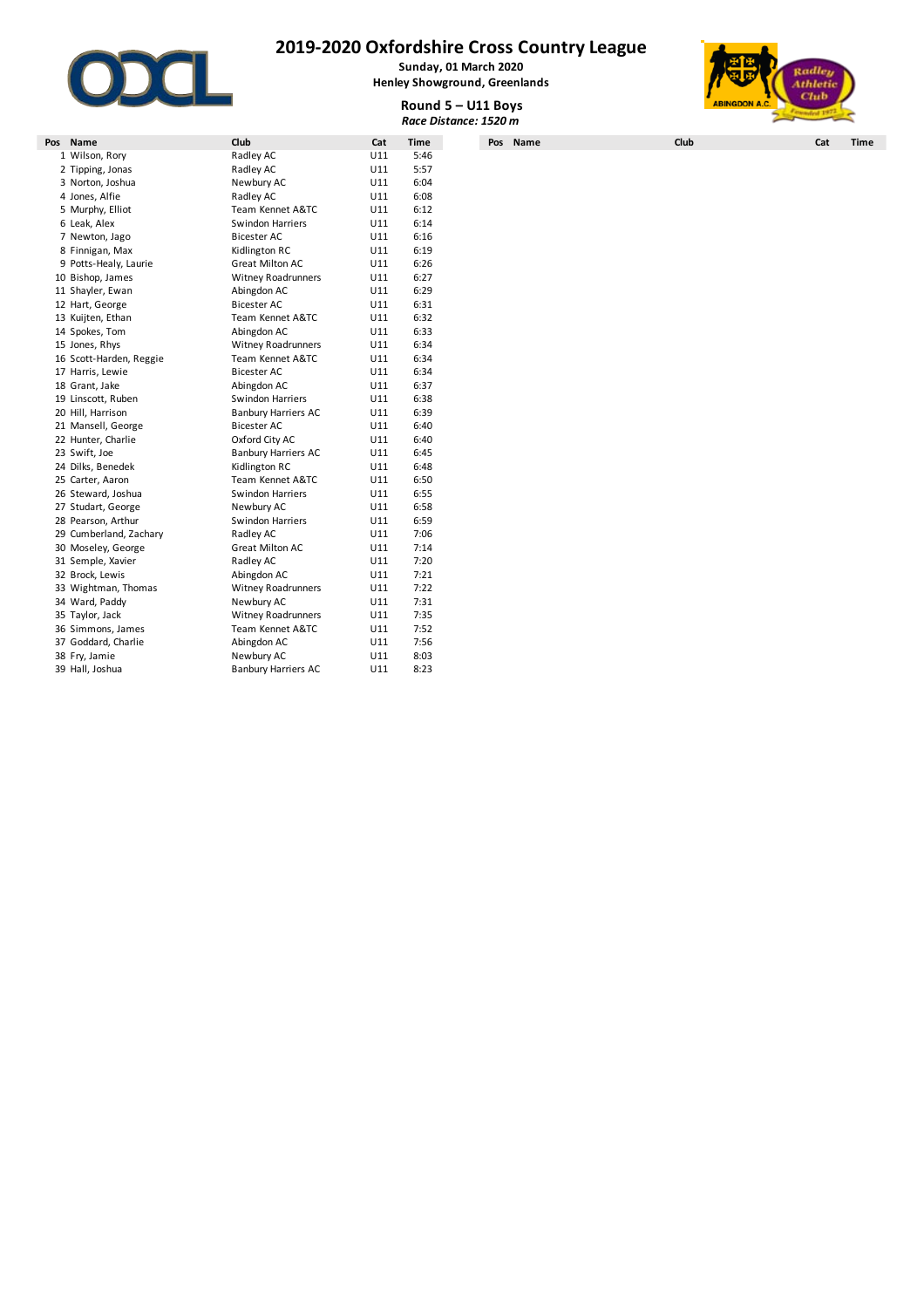

**Sunday, 01 March 2020 Henley Showground, Greenlands**



|                         |                            |     |             |                       |                      | Club |             |  |  |
|-------------------------|----------------------------|-----|-------------|-----------------------|----------------------|------|-------------|--|--|
|                         |                            |     |             | Round 5 - U11 Boys    | <b>ABINGDON A.C.</b> |      |             |  |  |
|                         |                            |     |             | Race Distance: 1520 m |                      |      |             |  |  |
| Pos Name                | Club                       | Cat | <b>Time</b> | Pos Name              | Club                 | Cat  | <b>Time</b> |  |  |
| 1 Wilson, Rory          | Radley AC                  | U11 | 5:46        |                       |                      |      |             |  |  |
| 2 Tipping, Jonas        | Radley AC                  | U11 | 5:57        |                       |                      |      |             |  |  |
| 3 Norton, Joshua        | Newbury AC                 | U11 | 6:04        |                       |                      |      |             |  |  |
| 4 Jones, Alfie          | Radley AC                  | U11 | 6:08        |                       |                      |      |             |  |  |
| 5 Murphy, Elliot        | Team Kennet A&TC           | U11 | 6:12        |                       |                      |      |             |  |  |
| 6 Leak, Alex            | Swindon Harriers           | U11 | 6:14        |                       |                      |      |             |  |  |
| 7 Newton, Jago          | <b>Bicester AC</b>         | U11 | 6:16        |                       |                      |      |             |  |  |
| 8 Finnigan, Max         | Kidlington RC              | U11 | 6:19        |                       |                      |      |             |  |  |
| 9 Potts-Healy, Laurie   | <b>Great Milton AC</b>     | U11 | 6:26        |                       |                      |      |             |  |  |
| 10 Bishop, James        | <b>Witney Roadrunners</b>  | U11 | 6:27        |                       |                      |      |             |  |  |
| 11 Shayler, Ewan        | Abingdon AC                | U11 | 6:29        |                       |                      |      |             |  |  |
| 12 Hart, George         | Bicester AC                | U11 | 6:31        |                       |                      |      |             |  |  |
| 13 Kuijten, Ethan       | Team Kennet A&TC           | U11 | 6:32        |                       |                      |      |             |  |  |
| 14 Spokes, Tom          | Abingdon AC                | U11 | 6:33        |                       |                      |      |             |  |  |
| 15 Jones, Rhys          | Witney Roadrunners         | U11 | 6:34        |                       |                      |      |             |  |  |
| 16 Scott-Harden, Reggie | Team Kennet A&TC           | U11 | 6:34        |                       |                      |      |             |  |  |
| 17 Harris, Lewie        | Bicester AC                | U11 | 6:34        |                       |                      |      |             |  |  |
| 18 Grant, Jake          | Abingdon AC                | U11 | 6:37        |                       |                      |      |             |  |  |
| 19 Linscott, Ruben      | Swindon Harriers           | U11 | 6:38        |                       |                      |      |             |  |  |
| 20 Hill, Harrison       | <b>Banbury Harriers AC</b> | U11 | 6:39        |                       |                      |      |             |  |  |
| 21 Mansell, George      | <b>Bicester AC</b>         | U11 | 6:40        |                       |                      |      |             |  |  |
| 22 Hunter, Charlie      | Oxford City AC             | U11 | 6:40        |                       |                      |      |             |  |  |
| 23 Swift, Joe           | <b>Banbury Harriers AC</b> | U11 | 6:45        |                       |                      |      |             |  |  |
| 24 Dilks, Benedek       | Kidlington RC              | U11 | 6:48        |                       |                      |      |             |  |  |
| 25 Carter, Aaron        | Team Kennet A&TC           | U11 | 6:50        |                       |                      |      |             |  |  |
| 26 Steward, Joshua      | Swindon Harriers           | U11 | 6:55        |                       |                      |      |             |  |  |
| 27 Studart, George      | Newbury AC                 | U11 | 6:58        |                       |                      |      |             |  |  |
| 28 Pearson, Arthur      | Swindon Harriers           | U11 | 6:59        |                       |                      |      |             |  |  |
| 29 Cumberland, Zachary  | Radley AC                  | U11 | 7:06        |                       |                      |      |             |  |  |
| 30 Moseley, George      | <b>Great Milton AC</b>     | U11 | 7:14        |                       |                      |      |             |  |  |
| 31 Semple, Xavier       | Radley AC                  | U11 | 7:20        |                       |                      |      |             |  |  |
| 32 Brock, Lewis         | Abingdon AC                | U11 | 7:21        |                       |                      |      |             |  |  |
| 33 Wightman, Thomas     | Witney Roadrunners         | U11 | 7:22        |                       |                      |      |             |  |  |
| 34 Ward, Paddy          | Newbury AC                 | U11 | 7:31        |                       |                      |      |             |  |  |
| 35 Taylor, Jack         | <b>Witney Roadrunners</b>  | U11 | 7:35        |                       |                      |      |             |  |  |
| 36 Simmons, James       | Team Kennet A&TC           | U11 | 7:52        |                       |                      |      |             |  |  |
| 37 Goddard, Charlie     | Abingdon AC                | U11 | 7:56        |                       |                      |      |             |  |  |
| 38 Fry, Jamie           | Newbury AC                 | U11 | 8:03        |                       |                      |      |             |  |  |
| 39 Hall, Joshua         | <b>Banbury Harriers AC</b> | U11 | 8:23        |                       |                      |      |             |  |  |
|                         |                            |     |             |                       |                      |      |             |  |  |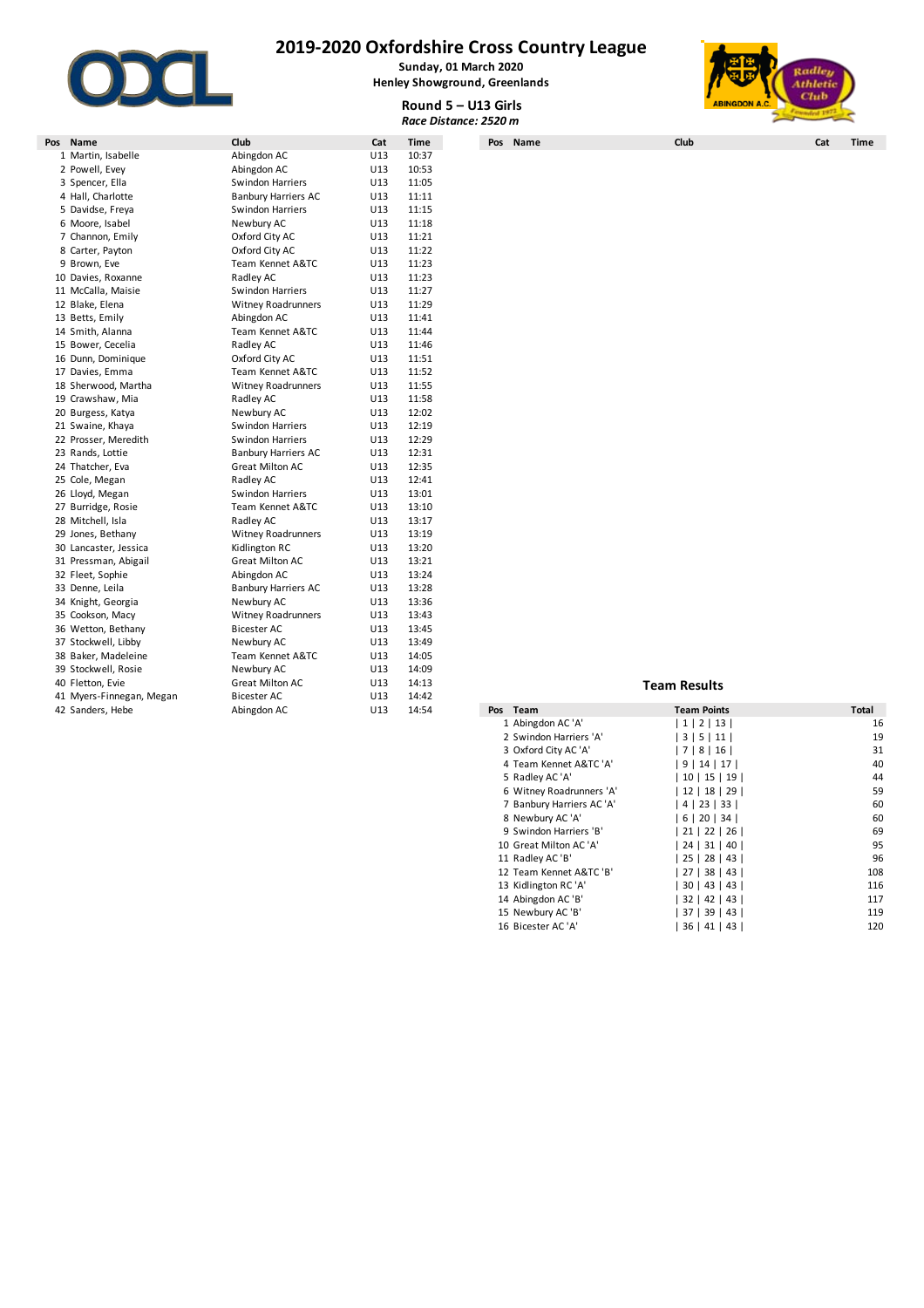

**Sunday, 01 March 2020 Henley Showground, Greenlands**



**Round 5 – U13 Girls** *Race Distance: 2520 m*

| Pos | Name                     | Club                       | Cat | Time  | Pos Name | Club                |                    | Cat | Time         |
|-----|--------------------------|----------------------------|-----|-------|----------|---------------------|--------------------|-----|--------------|
|     | 1 Martin, Isabelle       | Abingdon AC                | U13 | 10:37 |          |                     |                    |     |              |
|     | 2 Powell, Evey           | Abingdon AC                | U13 | 10:53 |          |                     |                    |     |              |
|     | 3 Spencer, Ella          | Swindon Harriers           | U13 | 11:05 |          |                     |                    |     |              |
|     | 4 Hall, Charlotte        | <b>Banbury Harriers AC</b> | U13 | 11:11 |          |                     |                    |     |              |
|     | 5 Davidse, Freya         | Swindon Harriers           | U13 | 11:15 |          |                     |                    |     |              |
|     | 6 Moore, Isabel          | Newbury AC                 | U13 | 11:18 |          |                     |                    |     |              |
|     | 7 Channon, Emily         | Oxford City AC             | U13 | 11:21 |          |                     |                    |     |              |
|     | 8 Carter, Payton         | Oxford City AC             | U13 | 11:22 |          |                     |                    |     |              |
|     | 9 Brown, Eve             | Team Kennet A&TC           | U13 | 11:23 |          |                     |                    |     |              |
|     | 10 Davies, Roxanne       | Radley AC                  | U13 | 11:23 |          |                     |                    |     |              |
|     | 11 McCalla, Maisie       | Swindon Harriers           | U13 | 11:27 |          |                     |                    |     |              |
|     | 12 Blake, Elena          | <b>Witney Roadrunners</b>  | U13 | 11:29 |          |                     |                    |     |              |
|     | 13 Betts, Emily          | Abingdon AC                | U13 | 11:41 |          |                     |                    |     |              |
|     | 14 Smith, Alanna         | Team Kennet A&TC           | U13 | 11:44 |          |                     |                    |     |              |
|     | 15 Bower, Cecelia        | Radley AC                  | U13 | 11:46 |          |                     |                    |     |              |
|     | 16 Dunn, Dominique       | Oxford City AC             | U13 | 11:51 |          |                     |                    |     |              |
|     | 17 Davies, Emma          | Team Kennet A&TC           | U13 | 11:52 |          |                     |                    |     |              |
|     | 18 Sherwood, Martha      | <b>Witney Roadrunners</b>  | U13 | 11:55 |          |                     |                    |     |              |
|     | 19 Crawshaw, Mia         | Radley AC                  | U13 | 11:58 |          |                     |                    |     |              |
|     | 20 Burgess, Katya        | Newbury AC                 | U13 | 12:02 |          |                     |                    |     |              |
|     | 21 Swaine, Khaya         | Swindon Harriers           | U13 | 12:19 |          |                     |                    |     |              |
|     | 22 Prosser, Meredith     | Swindon Harriers           | U13 | 12:29 |          |                     |                    |     |              |
|     | 23 Rands, Lottie         | <b>Banbury Harriers AC</b> | U13 | 12:31 |          |                     |                    |     |              |
|     | 24 Thatcher, Eva         | Great Milton AC            | U13 | 12:35 |          |                     |                    |     |              |
|     | 25 Cole, Megan           | Radley AC                  | U13 | 12:41 |          |                     |                    |     |              |
|     | 26 Lloyd, Megan          | Swindon Harriers           | U13 | 13:01 |          |                     |                    |     |              |
|     | 27 Burridge, Rosie       | Team Kennet A&TC           | U13 | 13:10 |          |                     |                    |     |              |
|     | 28 Mitchell, Isla        | Radley AC                  | U13 | 13:17 |          |                     |                    |     |              |
|     | 29 Jones, Bethany        | <b>Witney Roadrunners</b>  | U13 | 13:19 |          |                     |                    |     |              |
|     | 30 Lancaster, Jessica    | Kidlington RC              | U13 | 13:20 |          |                     |                    |     |              |
|     | 31 Pressman, Abigail     | Great Milton AC            | U13 | 13:21 |          |                     |                    |     |              |
|     | 32 Fleet, Sophie         | Abingdon AC                | U13 | 13:24 |          |                     |                    |     |              |
|     | 33 Denne, Leila          | <b>Banbury Harriers AC</b> | U13 | 13:28 |          |                     |                    |     |              |
|     | 34 Knight, Georgia       | Newbury AC                 | U13 | 13:36 |          |                     |                    |     |              |
|     | 35 Cookson, Macy         | <b>Witney Roadrunners</b>  | U13 | 13:43 |          |                     |                    |     |              |
|     | 36 Wetton, Bethany       | Bicester AC                | U13 | 13:45 |          |                     |                    |     |              |
|     | 37 Stockwell, Libby      | Newbury AC                 | U13 | 13:49 |          |                     |                    |     |              |
|     | 38 Baker, Madeleine      | Team Kennet A&TC           | U13 | 14:05 |          |                     |                    |     |              |
|     | 39 Stockwell, Rosie      | Newbury AC                 | U13 | 14:09 |          |                     |                    |     |              |
|     | 40 Fletton, Evie         | Great Milton AC            | U13 | 14:13 |          | <b>Team Results</b> |                    |     |              |
|     | 41 Myers-Finnegan, Megan | Bicester AC                | U13 | 14:42 |          |                     |                    |     |              |
|     | 42 Sanders, Hebe         | Abingdon AC                | U13 | 14:54 | Pos Team |                     | <b>Team Points</b> |     | <b>Total</b> |

| 42 Sanders, Hebe | Abingdon AC | U13<br>14:54 | Pos Team                  | <b>Team Points</b>   | Total |
|------------------|-------------|--------------|---------------------------|----------------------|-------|
|                  |             |              | 1 Abingdon AC 'A'         | 1 2 13               | 16    |
|                  |             |              | 2 Swindon Harriers 'A'    | 3   5   11           | 19    |
|                  |             |              | 3 Oxford City AC 'A'      | 7 8 16               | 31    |
|                  |             |              | 4 Team Kennet A&TC 'A'    | 9   14   17          | 40    |
|                  |             |              | 5 Radley AC 'A'           | 10   15   19         | 44    |
|                  |             |              | 6 Witney Roadrunners 'A'  | 12   18   29         | 59    |
|                  |             |              | 7 Banbury Harriers AC 'A' | 4   23   33          | 60    |
|                  |             |              | 8 Newbury AC 'A'          | 6   20   34          | 60    |
|                  |             |              | 9 Swindon Harriers 'B'    | 21   22   26         | 69    |
|                  |             |              | 10 Great Milton AC 'A'    | 24   31   40         | 95    |
|                  |             |              | 11 Radley AC 'B'          | 25   28   43         | 96    |
|                  |             |              | 12 Team Kennet A&TC 'B'   | 27   38   43         | 108   |
|                  |             |              | 13 Kidlington RC 'A'      | 30   43   43         | 116   |
|                  |             |              | 14 Abingdon AC 'B'        | $32 \mid 42 \mid 43$ | 117   |
|                  |             |              | 15 Newbury AC 'B'         | 37   39   43         | 119   |
|                  |             |              | 16 Bicester AC 'A'        | 36   41   43         | 120   |
|                  |             |              |                           |                      |       |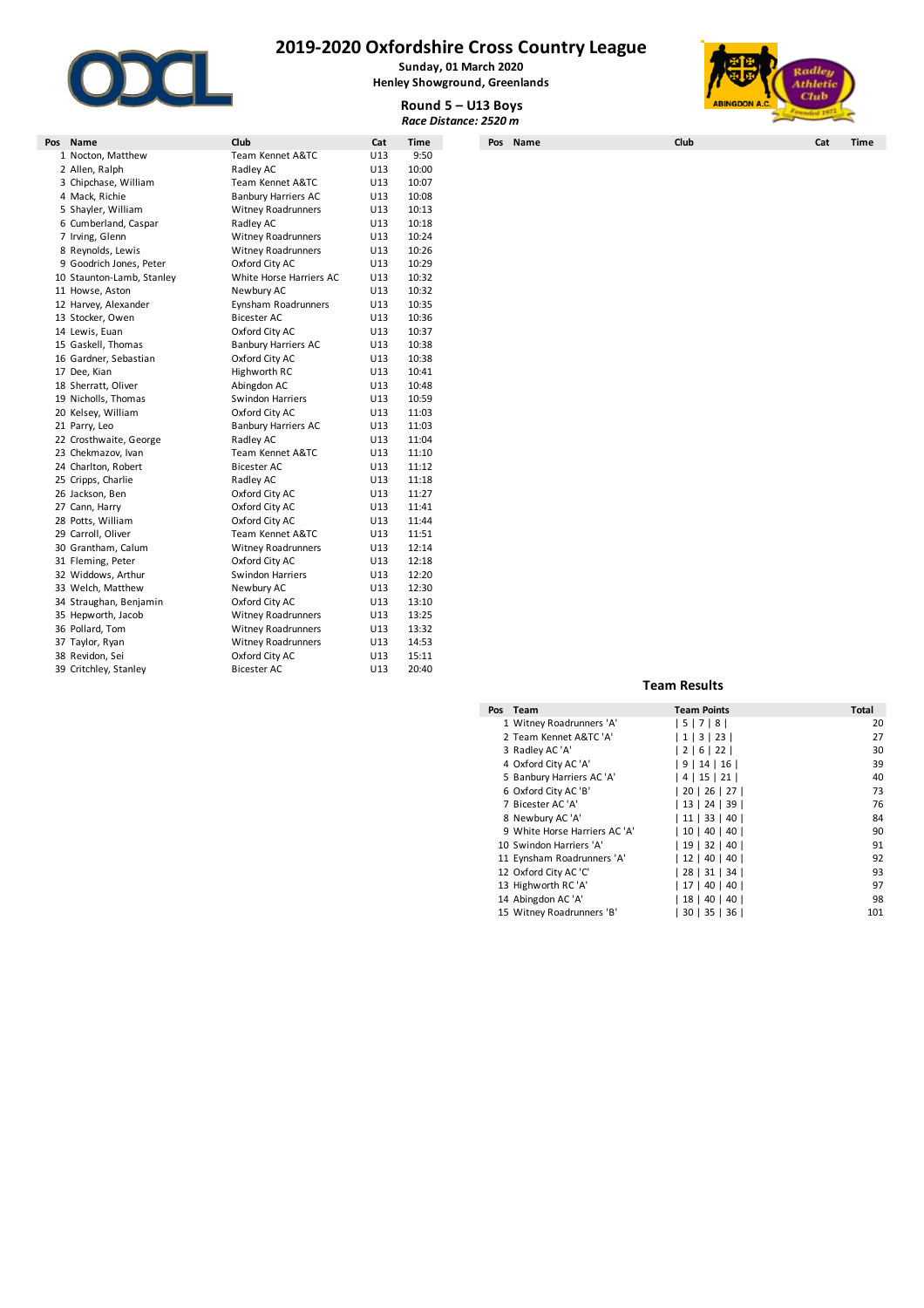

**Sunday, 01 March 2020**

# **Henley Showground, Greenlands**



**Round 5 – U13 Boys** *Race Distance: 2520 m*

| Pos Name                  | Club                       | Cat | Time  | Pos Name | Club                   | Cat | Time |
|---------------------------|----------------------------|-----|-------|----------|------------------------|-----|------|
| 1 Nocton, Matthew         | Team Kennet A&TC           | U13 | 9:50  |          |                        |     |      |
| 2 Allen, Ralph            | Radley AC                  | U13 | 10:00 |          |                        |     |      |
| 3 Chipchase, William      | Team Kennet A&TC           | U13 | 10:07 |          |                        |     |      |
| 4 Mack, Richie            | <b>Banbury Harriers AC</b> | U13 | 10:08 |          |                        |     |      |
| 5 Shayler, William        | <b>Witney Roadrunners</b>  | U13 | 10:13 |          |                        |     |      |
| 6 Cumberland, Caspar      | Radley AC                  | U13 | 10:18 |          |                        |     |      |
| 7 Irving, Glenn           | Witney Roadrunners         | U13 | 10:24 |          |                        |     |      |
| 8 Reynolds, Lewis         | <b>Witney Roadrunners</b>  | U13 | 10:26 |          |                        |     |      |
| 9 Goodrich Jones, Peter   | Oxford City AC             | U13 | 10:29 |          |                        |     |      |
| 10 Staunton-Lamb, Stanley | White Horse Harriers AC    | U13 | 10:32 |          |                        |     |      |
| 11 Howse, Aston           | Newbury AC                 | U13 | 10:32 |          |                        |     |      |
| 12 Harvey, Alexander      | Eynsham Roadrunners        | U13 | 10:35 |          |                        |     |      |
| 13 Stocker, Owen          | Bicester AC                | U13 | 10:36 |          |                        |     |      |
| 14 Lewis, Euan            | Oxford City AC             | U13 | 10:37 |          |                        |     |      |
| 15 Gaskell, Thomas        | <b>Banbury Harriers AC</b> | U13 | 10:38 |          |                        |     |      |
| 16 Gardner, Sebastian     | Oxford City AC             | U13 | 10:38 |          |                        |     |      |
| 17 Dee, Kian              | Highworth RC               | U13 | 10:41 |          |                        |     |      |
| 18 Sherratt, Oliver       | Abingdon AC                | U13 | 10:48 |          |                        |     |      |
| 19 Nicholls, Thomas       | Swindon Harriers           | U13 | 10:59 |          |                        |     |      |
| 20 Kelsey, William        | Oxford City AC             | U13 | 11:03 |          |                        |     |      |
| 21 Parry, Leo             | <b>Banbury Harriers AC</b> | U13 | 11:03 |          |                        |     |      |
| 22 Crosthwaite, George    | Radley AC                  | U13 | 11:04 |          |                        |     |      |
| 23 Chekmazov, Ivan        | Team Kennet A&TC           | U13 | 11:10 |          |                        |     |      |
| 24 Charlton, Robert       | <b>Bicester AC</b>         | U13 | 11:12 |          |                        |     |      |
| 25 Cripps, Charlie        | Radley AC                  | U13 | 11:18 |          |                        |     |      |
| 26 Jackson, Ben           | Oxford City AC             | U13 | 11:27 |          |                        |     |      |
| 27 Cann, Harry            | Oxford City AC             | U13 | 11:41 |          |                        |     |      |
| 28 Potts, William         | Oxford City AC             | U13 | 11:44 |          |                        |     |      |
| 29 Carroll, Oliver        | Team Kennet A&TC           | U13 | 11:51 |          |                        |     |      |
| 30 Grantham, Calum        | <b>Witney Roadrunners</b>  | U13 | 12:14 |          |                        |     |      |
| 31 Fleming, Peter         | Oxford City AC             | U13 | 12:18 |          |                        |     |      |
| 32 Widdows, Arthur        | Swindon Harriers           | U13 | 12:20 |          |                        |     |      |
| 33 Welch, Matthew         | Newbury AC                 | U13 | 12:30 |          |                        |     |      |
| 34 Straughan, Benjamin    | Oxford City AC             | U13 | 13:10 |          |                        |     |      |
| 35 Hepworth, Jacob        | <b>Witney Roadrunners</b>  | U13 | 13:25 |          |                        |     |      |
| 36 Pollard, Tom           | <b>Witney Roadrunners</b>  | U13 | 13:32 |          |                        |     |      |
| 37 Taylor, Ryan           | Witney Roadrunners         | U13 | 14:53 |          |                        |     |      |
| 38 Revidon, Sei           | Oxford City AC             | U13 | 15:11 |          |                        |     |      |
| 39 Critchley, Stanley     | <b>Bicester AC</b>         | U13 | 20:40 |          |                        |     |      |
|                           |                            |     |       |          | The contract Discounts |     |      |

| Pos Team                      | <b>Team Points</b> | Total |
|-------------------------------|--------------------|-------|
| 1 Witney Roadrunners 'A'      | 5 7 8              | 20    |
| 2 Team Kennet A&TC 'A'        | 1 3 23             | 27    |
| 3 Radley AC 'A'               | 2 6 22             | 30    |
| 4 Oxford City AC 'A'          | 9   14   16        | 39    |
| 5 Banbury Harriers AC 'A'     | 4 15 21            | 40    |
| 6 Oxford City AC 'B'          | 20   26   27       | 73    |
| 7 Bicester AC 'A'             | 13   24   39       | 76    |
| 8 Newbury AC 'A'              | 11 33 40           | 84    |
| 9 White Horse Harriers AC 'A' | 10   40   40       | 90    |
| 10 Swindon Harriers 'A'       | 19   32   40       | 91    |
| 11 Eynsham Roadrunners 'A'    | 12   40   40       | 92    |
| 12 Oxford City AC 'C'         | 28   31   34       | 93    |
| 13 Highworth RC 'A'           | 17   40   40       | 97    |
| 14 Abingdon AC 'A'            | 18   40   40       | 98    |
| 15 Witney Roadrunners 'B'     | 30   35   36       | 101   |
|                               |                    |       |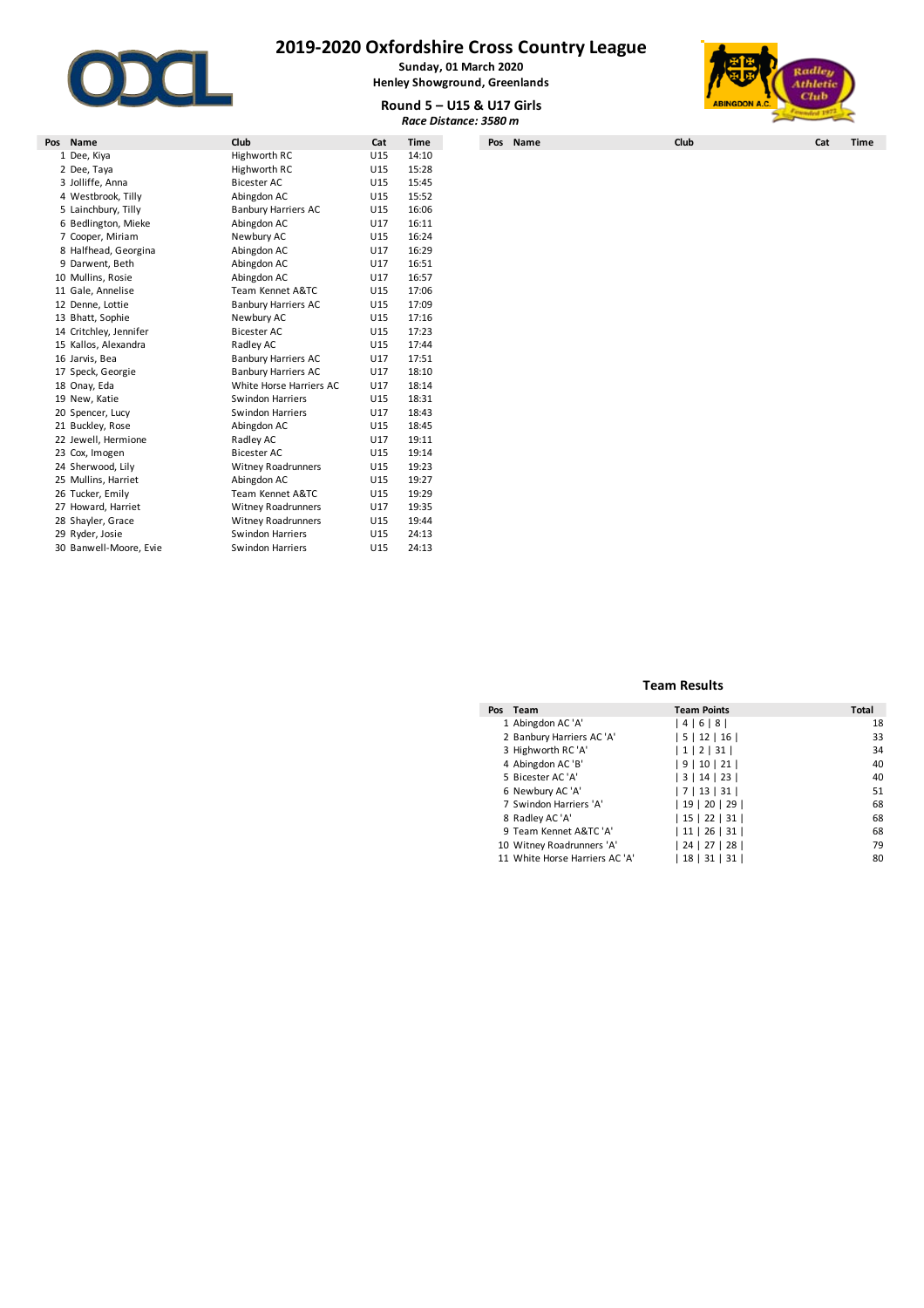

**Sunday, 01 March 2020 Henley Showground, Greenlands**



**Round 5 – U15 & U17 Girls** *Race Distance: 3580 m*

|                        |                            |     |             | $N$ ווט עברט – כ $\mu$ א כברט – כ | <b>MURTADOR M.V.</b><br><b>Randed 1973</b> |     |  |  |
|------------------------|----------------------------|-----|-------------|-----------------------------------|--------------------------------------------|-----|--|--|
|                        |                            |     |             | Race Distance: 3580 m             |                                            |     |  |  |
| Pos Name               | Club                       | Cat | <b>Time</b> | Pos Name                          | Club                                       | Cat |  |  |
| 1 Dee, Kiya            | Highworth RC               | U15 | 14:10       |                                   |                                            |     |  |  |
| 2 Dee, Taya            | Highworth RC               | U15 | 15:28       |                                   |                                            |     |  |  |
| 3 Jolliffe, Anna       | <b>Bicester AC</b>         | U15 | 15:45       |                                   |                                            |     |  |  |
| 4 Westbrook, Tilly     | Abingdon AC                | U15 | 15:52       |                                   |                                            |     |  |  |
| 5 Lainchbury, Tilly    | <b>Banbury Harriers AC</b> | U15 | 16:06       |                                   |                                            |     |  |  |
| 6 Bedlington, Mieke    | Abingdon AC                | U17 | 16:11       |                                   |                                            |     |  |  |
| 7 Cooper, Miriam       | Newbury AC                 | U15 | 16:24       |                                   |                                            |     |  |  |
| 8 Halfhead, Georgina   | Abingdon AC                | U17 | 16:29       |                                   |                                            |     |  |  |
| 9 Darwent, Beth        | Abingdon AC                | U17 | 16:51       |                                   |                                            |     |  |  |
| 10 Mullins, Rosie      | Abingdon AC                | U17 | 16:57       |                                   |                                            |     |  |  |
| 11 Gale, Annelise      | Team Kennet A&TC           | U15 | 17:06       |                                   |                                            |     |  |  |
| 12 Denne, Lottie       | <b>Banbury Harriers AC</b> | U15 | 17:09       |                                   |                                            |     |  |  |
| 13 Bhatt, Sophie       | Newbury AC                 | U15 | 17:16       |                                   |                                            |     |  |  |
| 14 Critchley, Jennifer | <b>Bicester AC</b>         | U15 | 17:23       |                                   |                                            |     |  |  |
| 15 Kallos, Alexandra   | Radley AC                  | U15 | 17:44       |                                   |                                            |     |  |  |
| 16 Jarvis, Bea         | <b>Banbury Harriers AC</b> | U17 | 17:51       |                                   |                                            |     |  |  |
| 17 Speck, Georgie      | <b>Banbury Harriers AC</b> | U17 | 18:10       |                                   |                                            |     |  |  |
| 18 Onay, Eda           | White Horse Harriers AC    | U17 | 18:14       |                                   |                                            |     |  |  |
| 19 New, Katie          | Swindon Harriers           | U15 | 18:31       |                                   |                                            |     |  |  |
| 20 Spencer, Lucy       | Swindon Harriers           | U17 | 18:43       |                                   |                                            |     |  |  |
| 21 Buckley, Rose       | Abingdon AC                | U15 | 18:45       |                                   |                                            |     |  |  |
| 22 Jewell, Hermione    | Radley AC                  | U17 | 19:11       |                                   |                                            |     |  |  |
| 23 Cox, Imogen         | <b>Bicester AC</b>         | U15 | 19:14       |                                   |                                            |     |  |  |
| 24 Sherwood, Lily      | <b>Witney Roadrunners</b>  | U15 | 19:23       |                                   |                                            |     |  |  |
| 25 Mullins, Harriet    | Abingdon AC                | U15 | 19:27       |                                   |                                            |     |  |  |
| 26 Tucker, Emily       | Team Kennet A&TC           | U15 | 19:29       |                                   |                                            |     |  |  |
| 27 Howard, Harriet     | <b>Witney Roadrunners</b>  | U17 | 19:35       |                                   |                                            |     |  |  |
| 28 Shayler, Grace      | <b>Witney Roadrunners</b>  | U15 | 19:44       |                                   |                                            |     |  |  |
| 29 Ryder, Josie        | Swindon Harriers           | U15 | 24:13       |                                   |                                            |     |  |  |
| 30 Banwell-Moore, Evie | Swindon Harriers           | U15 | 24:13       |                                   |                                            |     |  |  |

| Pos | Team                           | <b>Team Points</b> | Total |
|-----|--------------------------------|--------------------|-------|
|     | 1 Abingdon AC 'A'              | 4 6 8              | 18    |
|     | 2 Banbury Harriers AC 'A'      | 5 12 16            | 33    |
|     | 3 Highworth RC 'A'             | 1 2 31             | 34    |
|     | 4 Abingdon AC 'B'              | 9 10 21            | 40    |
|     | 5 Bicester AC 'A'              | 3   14   23        | 40    |
|     | 6 Newbury AC 'A'               | 7   13   31        | 51    |
|     | 7 Swindon Harriers 'A'         | 19 20 29           | 68    |
|     | 8 Radley AC 'A'                | 15 22 31           | 68    |
|     | 9 Team Kennet A&TC 'A'         | 11 26 31           | 68    |
|     | 10 Witney Roadrunners 'A'      | 24   27   28       | 79    |
|     | 11 White Horse Harriers AC 'A' | 18   31   31       | 80    |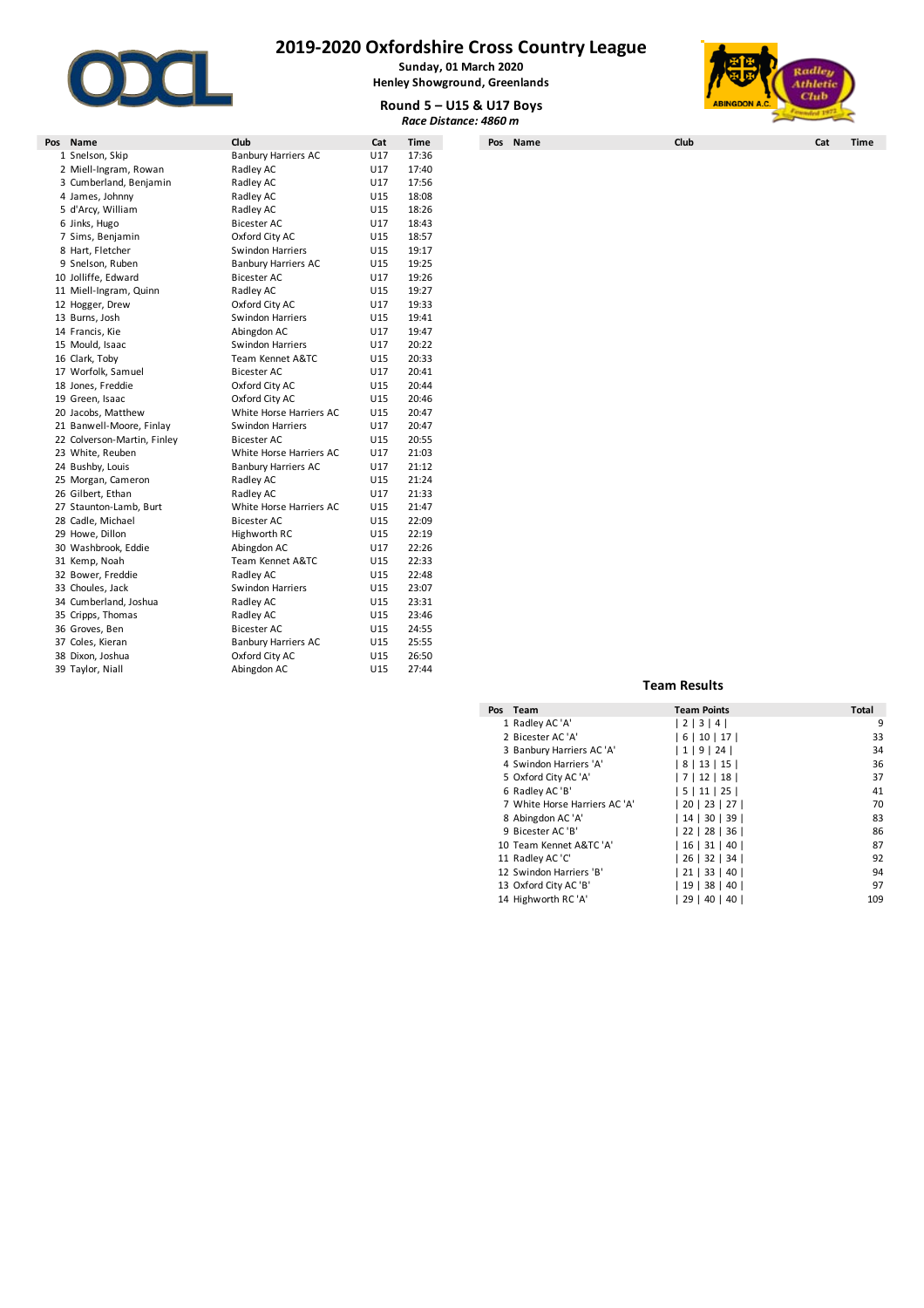

**Sunday, 01 March 2020 Henley Showground, Greenlands**







| Pos Name                    | Club                       | Cat | <b>Time</b> |
|-----------------------------|----------------------------|-----|-------------|
| 1 Snelson, Skip             | <b>Banbury Harriers AC</b> | U17 | 17:36       |
| 2 Miell-Ingram, Rowan       | Radley AC                  | U17 | 17:40       |
| 3 Cumberland, Benjamin      | Radley AC                  | U17 | 17:56       |
| 4 James, Johnny             | Radley AC                  | U15 | 18:08       |
| 5 d'Arcy, William           | Radley AC                  | U15 | 18:26       |
| 6 Jinks, Hugo               | <b>Bicester AC</b>         | U17 | 18:43       |
| 7 Sims, Benjamin            | Oxford City AC             | U15 | 18:57       |
| 8 Hart, Fletcher            | Swindon Harriers           | U15 | 19:17       |
| 9 Snelson, Ruben            | <b>Banbury Harriers AC</b> | U15 | 19:25       |
| 10 Jolliffe, Edward         | <b>Bicester AC</b>         | U17 | 19:26       |
| 11 Miell-Ingram, Quinn      | Radley AC                  | U15 | 19:27       |
| 12 Hogger, Drew             | Oxford City AC             | U17 | 19:33       |
| 13 Burns, Josh              | Swindon Harriers           | U15 | 19:41       |
| 14 Francis, Kie             | Abingdon AC                | U17 | 19:47       |
| 15 Mould, Isaac             | Swindon Harriers           | U17 | 20:22       |
| 16 Clark, Toby              | Team Kennet A&TC           | U15 | 20:33       |
| 17 Worfolk, Samuel          | <b>Bicester AC</b>         | U17 | 20:41       |
| 18 Jones, Freddie           | Oxford City AC             | U15 | 20:44       |
| 19 Green, Isaac             | Oxford City AC             | U15 | 20:46       |
| 20 Jacobs, Matthew          | White Horse Harriers AC    | U15 | 20:47       |
| 21 Banwell-Moore, Finlay    | Swindon Harriers           | U17 | 20:47       |
| 22 Colverson-Martin, Finley | Bicester AC                | U15 | 20:55       |
|                             | White Horse Harriers AC    | U17 | 21:03       |
| 23 White, Reuben            |                            |     |             |
| 24 Bushby, Louis            | <b>Banbury Harriers AC</b> | U17 | 21:12       |
| 25 Morgan, Cameron          | Radley AC                  | U15 | 21:24       |
| 26 Gilbert, Ethan           | Radley AC                  | U17 | 21:33       |
| 27 Staunton-Lamb, Burt      | White Horse Harriers AC    | U15 | 21:47       |
| 28 Cadle, Michael           | <b>Bicester AC</b>         | U15 | 22:09       |
| 29 Howe, Dillon             | Highworth RC               | U15 | 22:19       |
| 30 Washbrook, Eddie         | Abingdon AC                | U17 | 22:26       |
| 31 Kemp, Noah               | Team Kennet A&TC           | U15 | 22:33       |
| 32 Bower, Freddie           | Radley AC                  | U15 | 22:48       |
| 33 Choules, Jack            | Swindon Harriers           | U15 | 23:07       |
| 34 Cumberland, Joshua       | Radley AC                  | U15 | 23:31       |
| 35 Cripps, Thomas           | Radley AC                  | U15 | 23:46       |
| 36 Groves, Ben              | Bicester AC                | U15 | 24:55       |
| 37 Coles, Kieran            | <b>Banbury Harriers AC</b> | U15 | 25:55       |
| 38 Dixon, Joshua            | Oxford City AC             | U15 | 26:50       |
| 39 Taylor, Niall            | Abingdon AC                | U15 | 27:44       |
|                             |                            |     |             |

| Pos Team                      | <b>Team Points</b> | Total |
|-------------------------------|--------------------|-------|
| 1 Radley AC 'A'               | 2   3   4          | 9     |
| 2 Bicester AC 'A'             | 6   10   17        | 33    |
| 3 Banbury Harriers AC 'A'     | 1   9   24         | 34    |
| 4 Swindon Harriers 'A'        | 8   13   15        | 36    |
| 5 Oxford City AC 'A'          | 7 12 18            | 37    |
| 6 Radley AC 'B'               | 5   11   25        | 41    |
| 7 White Horse Harriers AC 'A' | 20   23   27       | 70    |
| 8 Abingdon AC 'A'             | 14   30   39       | 83    |
| 9 Bicester AC 'B'             | 22   28   36       | 86    |
| 10 Team Kennet A&TC 'A'       | $16$   31   40     | 87    |
| 11 Radley AC 'C'              | $26$   32   34     | 92    |
| 12 Swindon Harriers 'B'       | 21   33   40       | 94    |
| 13 Oxford City AC 'B'         | 19   38   40       | 97    |
| 14 Highworth RC 'A'           | 29   40   40       | 109   |
|                               |                    |       |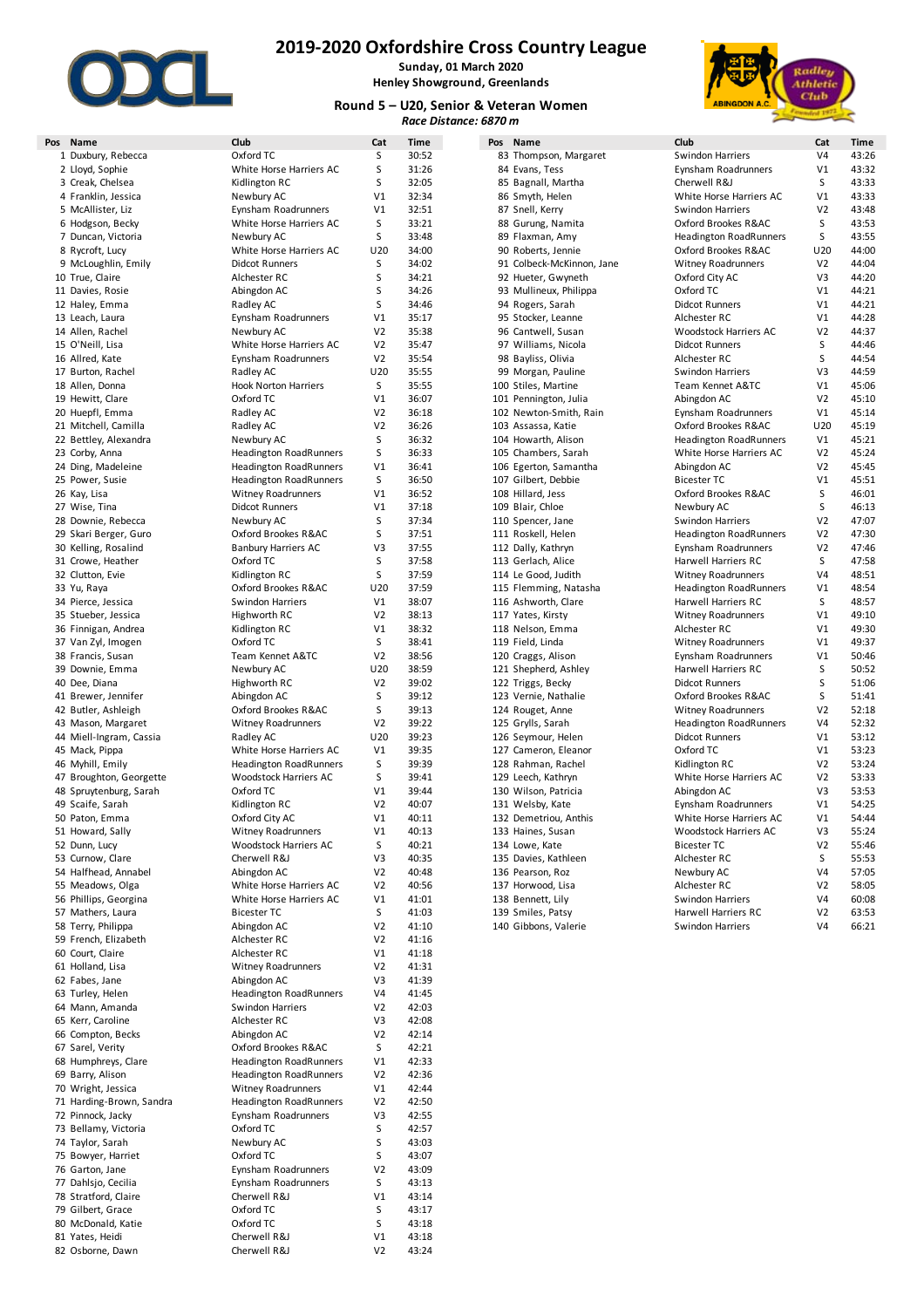

**Sunday, 01 March 2020 Henley Showground, Greenlands**

#### **Round 5 – U20, Senior & Veteran Women** *Race Distance: 6870 m*



| Pos Name                 | Club                          | Cat            | <b>Time</b> | Pos Name                  | Club                          | Cat            | <b>Time</b> |
|--------------------------|-------------------------------|----------------|-------------|---------------------------|-------------------------------|----------------|-------------|
| 1 Duxbury, Rebecca       | Oxford TC                     | S              | 30:52       | 83 Thompson, Margaret     | <b>Swindon Harriers</b>       | V <sub>4</sub> | 43:26       |
| 2 Lloyd, Sophie          | White Horse Harriers AC       | S              | 31:26       | 84 Evans, Tess            | Eynsham Roadrunners           | V <sub>1</sub> | 43:32       |
| 3 Creak, Chelsea         | Kidlington RC                 | S              | 32:05       | 85 Bagnall, Martha        | Cherwell R&J                  | S              | 43:33       |
| 4 Franklin, Jessica      | Newbury AC                    | V1             | 32:34       | 86 Smyth, Helen           | White Horse Harriers AC       | V <sub>1</sub> | 43:33       |
| 5 McAllister, Liz        | Eynsham Roadrunners           | V1             | 32:51       | 87 Snell, Kerry           | Swindon Harriers              | V <sub>2</sub> | 43:48       |
| 6 Hodgson, Becky         | White Horse Harriers AC       | S              | 33:21       | 88 Gurung, Namita         | Oxford Brookes R&AC           | S              | 43:53       |
| 7 Duncan, Victoria       | Newbury AC                    | S              | 33:48       | 89 Flaxman, Amy           | <b>Headington RoadRunners</b> | $\mathsf S$    | 43:55       |
|                          |                               | U20            | 34:00       |                           |                               | U20            | 44:00       |
| 8 Rycroft, Lucy          | White Horse Harriers AC       |                |             | 90 Roberts, Jennie        | Oxford Brookes R&AC           |                |             |
| 9 McLoughlin, Emily      | <b>Didcot Runners</b>         | S              | 34:02       | 91 Colbeck-McKinnon, Jane | <b>Witney Roadrunners</b>     | V <sub>2</sub> | 44:04       |
| 10 True, Claire          | Alchester RC                  | S              | 34:21       | 92 Hueter, Gwyneth        | Oxford City AC                | V3             | 44:20       |
| 11 Davies, Rosie         | Abingdon AC                   | S              | 34:26       | 93 Mullineux, Philippa    | Oxford TC                     | V <sub>1</sub> | 44:21       |
| 12 Haley, Emma           | Radley AC                     | S              | 34:46       | 94 Rogers, Sarah          | <b>Didcot Runners</b>         | V <sub>1</sub> | 44:21       |
| 13 Leach, Laura          | Eynsham Roadrunners           | V1             | 35:17       | 95 Stocker, Leanne        | Alchester RC                  | V <sub>1</sub> | 44:28       |
| 14 Allen, Rachel         | Newbury AC                    | V <sub>2</sub> | 35:38       | 96 Cantwell, Susan        | Woodstock Harriers AC         | V <sub>2</sub> | 44:37       |
| 15 O'Neill, Lisa         | White Horse Harriers AC       | V <sub>2</sub> | 35:47       | 97 Williams, Nicola       | <b>Didcot Runners</b>         | S              | 44:46       |
| 16 Allred, Kate          | Eynsham Roadrunners           | V <sub>2</sub> | 35:54       | 98 Bayliss, Olivia        | Alchester RC                  | S              | 44:54       |
|                          |                               |                |             |                           |                               |                |             |
| 17 Burton, Rachel        | Radley AC                     | U20            | 35:55       | 99 Morgan, Pauline        | Swindon Harriers              | V3             | 44:59       |
| 18 Allen, Donna          | <b>Hook Norton Harriers</b>   | S              | 35:55       | 100 Stiles, Martine       | Team Kennet A&TC              | V <sub>1</sub> | 45:06       |
| 19 Hewitt, Clare         | Oxford TC                     | V1             | 36:07       | 101 Pennington, Julia     | Abingdon AC                   | V <sub>2</sub> | 45:10       |
| 20 Huepfl, Emma          | Radley AC                     | V <sub>2</sub> | 36:18       | 102 Newton-Smith, Rain    | Eynsham Roadrunners           | V <sub>1</sub> | 45:14       |
| 21 Mitchell, Camilla     | Radley AC                     | V <sub>2</sub> | 36:26       | 103 Assassa, Katie        | Oxford Brookes R&AC           | U20            | 45:19       |
| 22 Bettley, Alexandra    | Newbury AC                    | S              | 36:32       | 104 Howarth, Alison       | <b>Headington RoadRunners</b> | V <sub>1</sub> | 45:21       |
| 23 Corby, Anna           | <b>Headington RoadRunners</b> | S              | 36:33       | 105 Chambers, Sarah       | White Horse Harriers AC       | V <sub>2</sub> | 45:24       |
| 24 Ding, Madeleine       | <b>Headington RoadRunners</b> | V1             | 36:41       | 106 Egerton, Samantha     | Abingdon AC                   | V <sub>2</sub> | 45:45       |
|                          |                               |                |             |                           |                               |                |             |
| 25 Power, Susie          | <b>Headington RoadRunners</b> | S              | 36:50       | 107 Gilbert, Debbie       | <b>Bicester TC</b>            | V <sub>1</sub> | 45:51       |
| 26 Kay, Lisa             | <b>Witney Roadrunners</b>     | V1             | 36:52       | 108 Hillard, Jess         | Oxford Brookes R&AC           | S              | 46:01       |
| 27 Wise, Tina            | <b>Didcot Runners</b>         | V1             | 37:18       | 109 Blair, Chloe          | Newbury AC                    | S              | 46:13       |
| 28 Downie, Rebecca       | Newbury AC                    | S              | 37:34       | 110 Spencer, Jane         | Swindon Harriers              | V <sub>2</sub> | 47:07       |
| 29 Skari Berger, Guro    | Oxford Brookes R&AC           | S              | 37:51       | 111 Roskell, Helen        | <b>Headington RoadRunners</b> | V <sub>2</sub> | 47:30       |
| 30 Kelling, Rosalind     | <b>Banbury Harriers AC</b>    | V3             | 37:55       | 112 Dally, Kathryn        | Eynsham Roadrunners           | V <sub>2</sub> | 47:46       |
| 31 Crowe, Heather        | Oxford TC                     | S              | 37:58       | 113 Gerlach, Alice        | Harwell Harriers RC           | S              | 47:58       |
| 32 Clutton, Evie         | Kidlington RC                 | S              | 37:59       | 114 Le Good, Judith       | <b>Witney Roadrunners</b>     | V <sub>4</sub> | 48:51       |
| 33 Yu, Raya              | Oxford Brookes R&AC           | U20            | 37:59       |                           |                               | V <sub>1</sub> | 48:54       |
|                          |                               |                |             | 115 Flemming, Natasha     | <b>Headington RoadRunners</b> |                |             |
| 34 Pierce, Jessica       | Swindon Harriers              | V1             | 38:07       | 116 Ashworth, Clare       | Harwell Harriers RC           | S              | 48:57       |
| 35 Stueber, Jessica      | Highworth RC                  | V <sub>2</sub> | 38:13       | 117 Yates, Kirsty         | <b>Witney Roadrunners</b>     | V <sub>1</sub> | 49:10       |
| 36 Finnigan, Andrea      | Kidlington RC                 | V1             | 38:32       | 118 Nelson, Emma          | Alchester RC                  | V <sub>1</sub> | 49:30       |
| 37 Van Zyl, Imogen       | Oxford TC                     | S              | 38:41       | 119 Field, Linda          | <b>Witney Roadrunners</b>     | V1             | 49:37       |
| 38 Francis, Susan        | Team Kennet A&TC              | V <sub>2</sub> | 38:56       | 120 Craggs, Alison        | Eynsham Roadrunners           | V1             | 50:46       |
| 39 Downie, Emma          | Newbury AC                    | U20            | 38:59       | 121 Shepherd, Ashley      | Harwell Harriers RC           | S              | 50:52       |
| 40 Dee, Diana            | Highworth RC                  | V <sub>2</sub> | 39:02       | 122 Triggs, Becky         | <b>Didcot Runners</b>         | S              | 51:06       |
| 41 Brewer, Jennifer      | Abingdon AC                   | S              | 39:12       | 123 Vernie, Nathalie      | Oxford Brookes R&AC           | S              | 51:41       |
|                          |                               |                |             |                           |                               |                |             |
| 42 Butler, Ashleigh      | Oxford Brookes R&AC           | S              | 39:13       | 124 Rouget, Anne          | <b>Witney Roadrunners</b>     | V <sub>2</sub> | 52:18       |
| 43 Mason, Margaret       | <b>Witney Roadrunners</b>     | V <sub>2</sub> | 39:22       | 125 Grylls, Sarah         | <b>Headington RoadRunners</b> | V <sub>4</sub> | 52:32       |
| 44 Miell-Ingram, Cassia  | Radley AC                     | U20            | 39:23       | 126 Seymour, Helen        | <b>Didcot Runners</b>         | V <sub>1</sub> | 53:12       |
| 45 Mack, Pippa           | White Horse Harriers AC       | V1             | 39:35       | 127 Cameron, Eleanor      | Oxford TC                     | V <sub>1</sub> | 53:23       |
| 46 Myhill, Emily         | <b>Headington RoadRunners</b> | S              | 39:39       | 128 Rahman, Rachel        | Kidlington RC                 | V <sub>2</sub> | 53:24       |
| 47 Broughton, Georgette  | Woodstock Harriers AC         | S              | 39:41       | 129 Leech, Kathryn        | White Horse Harriers AC       | V <sub>2</sub> | 53:33       |
| 48 Spruytenburg, Sarah   | Oxford TC                     | V1             | 39:44       | 130 Wilson, Patricia      | Abingdon AC                   | V3             | 53:53       |
| 49 Scaife, Sarah         | Kidlington RC                 | V <sub>2</sub> | 40:07       | 131 Welsby, Kate          | Eynsham Roadrunners           | V1             | 54:25       |
|                          |                               |                |             |                           |                               |                |             |
| 50 Paton, Emma           | Oxford City AC                | V1             | 40:11       | 132 Demetriou, Anthis     | White Horse Harriers AC       | V <sub>1</sub> | 54:44       |
| 51 Howard, Sally         | Witney Roadrunners            | V1             | 40:13       | 133 Haines, Susan         | Woodstock Harriers AC         | V3             | 55:24       |
| 52 Dunn, Lucy            | Woodstock Harriers AC         | S              | 40:21       | 134 Lowe, Kate            | <b>Bicester TC</b>            | V <sub>2</sub> | 55:46       |
| 53 Curnow, Clare         | Cherwell R&J                  | V3             | 40:35       | 135 Davies, Kathleen      | Alchester RC                  | S              | 55:53       |
| 54 Halfhead, Annabel     | Abingdon AC                   | V <sub>2</sub> | 40:48       | 136 Pearson, Roz          | Newbury AC                    | V <sub>4</sub> | 57:05       |
| 55 Meadows, Olga         | White Horse Harriers AC       | V <sub>2</sub> | 40:56       | 137 Horwood, Lisa         | Alchester RC                  | V <sub>2</sub> | 58:05       |
| 56 Phillips, Georgina    | White Horse Harriers AC       | V1             | 41:01       | 138 Bennett, Lily         | Swindon Harriers              | V <sub>4</sub> | 60:08       |
| 57 Mathers, Laura        | <b>Bicester TC</b>            | s              | 41:03       | 139 Smiles, Patsy         | Harwell Harriers RC           | V <sub>2</sub> | 63:53       |
|                          |                               |                |             |                           |                               |                |             |
| 58 Terry, Philippa       | Abingdon AC                   | V <sub>2</sub> | 41:10       | 140 Gibbons, Valerie      | <b>Swindon Harriers</b>       | V <sub>4</sub> | 66:21       |
| 59 French, Elizabeth     | Alchester RC                  | V <sub>2</sub> | 41:16       |                           |                               |                |             |
| 60 Court, Claire         | Alchester RC                  | V1             | 41:18       |                           |                               |                |             |
| 61 Holland, Lisa         | <b>Witney Roadrunners</b>     | V <sub>2</sub> | 41:31       |                           |                               |                |             |
| 62 Fabes, Jane           | Abingdon AC                   | V3             | 41:39       |                           |                               |                |             |
| 63 Turley, Helen         | <b>Headington RoadRunners</b> | V4             | 41:45       |                           |                               |                |             |
| 64 Mann, Amanda          | Swindon Harriers              | V <sub>2</sub> | 42:03       |                           |                               |                |             |
| 65 Kerr, Caroline        | Alchester RC                  | V3             | 42:08       |                           |                               |                |             |
| 66 Compton, Becks        | Abingdon AC                   | V2             | 42:14       |                           |                               |                |             |
|                          |                               |                |             |                           |                               |                |             |
| 67 Sarel, Verity         | Oxford Brookes R&AC           | s              | 42:21       |                           |                               |                |             |
| 68 Humphreys, Clare      | <b>Headington RoadRunners</b> | V1             | 42:33       |                           |                               |                |             |
| 69 Barry, Alison         | <b>Headington RoadRunners</b> | V <sub>2</sub> | 42:36       |                           |                               |                |             |
| 70 Wright, Jessica       | <b>Witney Roadrunners</b>     | V1             | 42:44       |                           |                               |                |             |
| 71 Harding-Brown, Sandra | <b>Headington RoadRunners</b> | V <sub>2</sub> | 42:50       |                           |                               |                |             |
| 72 Pinnock, Jacky        | Eynsham Roadrunners           | V3             | 42:55       |                           |                               |                |             |
|                          |                               |                |             |                           |                               |                |             |
| 73 Bellamy, Victoria     | Oxford TC                     | S              | 42:57       |                           |                               |                |             |
| 74 Taylor, Sarah         | Newbury AC                    | S              | 43:03       |                           |                               |                |             |
| 75 Bowyer, Harriet       | Oxford TC                     | S              | 43:07       |                           |                               |                |             |
| 76 Garton, Jane          | Eynsham Roadrunners           | V <sub>2</sub> | 43:09       |                           |                               |                |             |
| 77 Dahlsjo, Cecilia      | Eynsham Roadrunners           | S              | 43:13       |                           |                               |                |             |
| 78 Stratford, Claire     | Cherwell R&J                  | V1             | 43:14       |                           |                               |                |             |
|                          |                               |                |             |                           |                               |                |             |
| 79 Gilbert, Grace        | Oxford TC                     | S              | 43:17       |                           |                               |                |             |
| 80 McDonald, Katie       | Oxford TC                     | S              | 43:18       |                           |                               |                |             |
| 81 Yates, Heidi          | Cherwell R&J                  | V1             | 43:18       |                           |                               |                |             |
| 82 Osborne, Dawn         | Cherwell R&J                  | V <sub>2</sub> | 43:24       |                           |                               |                |             |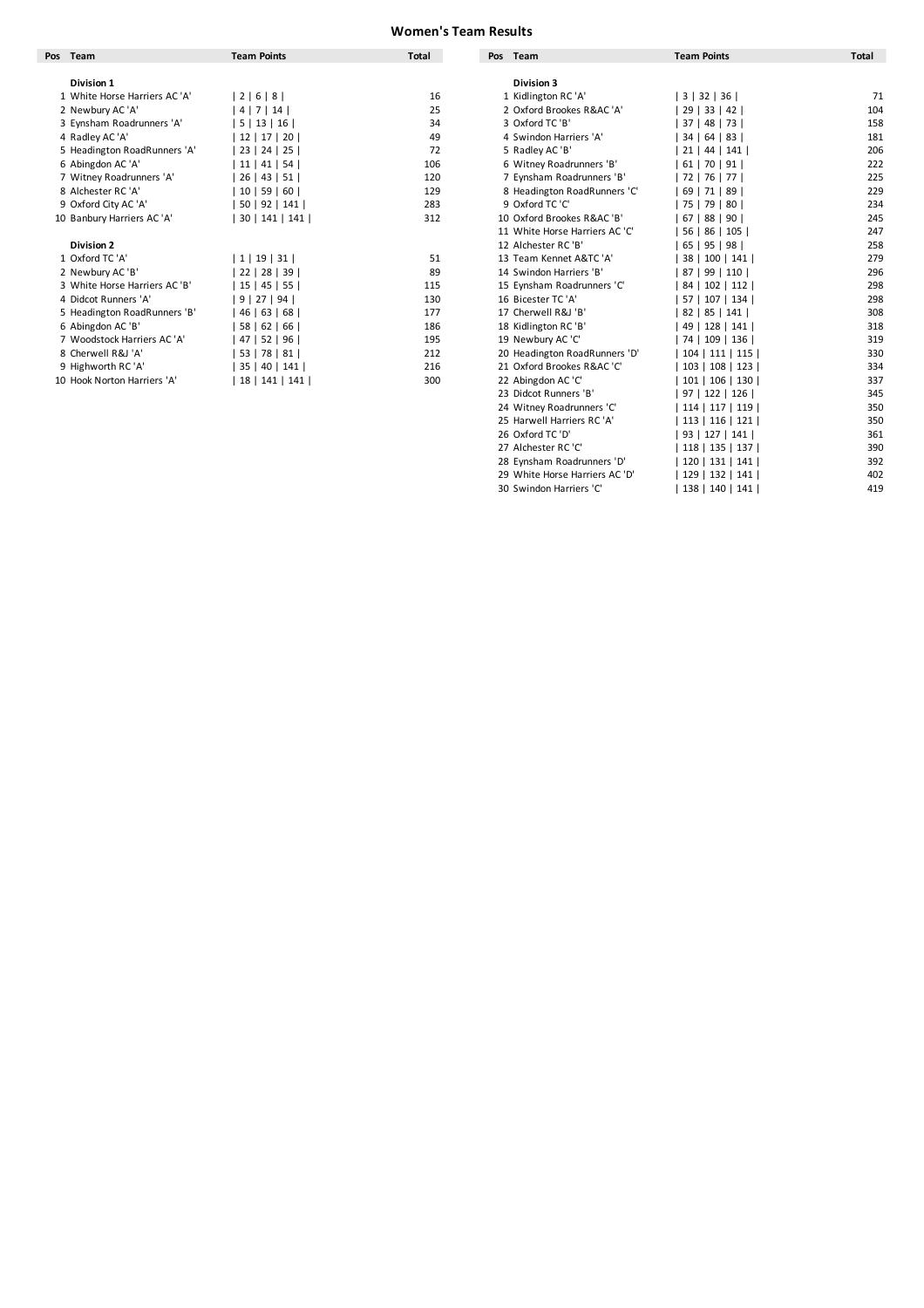### **Women's Team Results**

| Pos Team                      | <b>Team Points</b>            | <b>Total</b> | Team<br>Pos                    | <b>Team Points</b> | Total |
|-------------------------------|-------------------------------|--------------|--------------------------------|--------------------|-------|
|                               |                               |              |                                |                    |       |
| <b>Division 1</b>             |                               |              | <b>Division 3</b>              |                    |       |
| 1 White Horse Harriers AC 'A' | 2   6   8                     | 16           | 1 Kidlington RC 'A'            | 3   32   36        |       |
| 2 Newbury AC 'A'              | 4   7   14                    | 25           | 2 Oxford Brookes R&AC 'A'      | 29   33   42       |       |
| 3 Eynsham Roadrunners 'A'     | 5   13   16                   | 34           | 3 Oxford TC 'B'                | 37   48   73       |       |
| 4 Radley AC 'A'               | 12   17   20                  | 49           | 4 Swindon Harriers 'A'         | 34   64   83       |       |
| 5 Headington RoadRunners 'A'  | 23   24   25                  | 72           | 5 Radley AC 'B'                | $21$   44  <br>141 |       |
| 6 Abingdon AC 'A'             | 11   41   54                  | 106          | 6 Witney Roadrunners 'B'       | $61$   70   91     |       |
| 7 Witney Roadrunners 'A'      | 26   43   51                  | 120          | 7 Eynsham Roadrunners 'B'      | 72   76  <br>77 I  |       |
| 8 Alchester RC 'A'            | 10   59   60                  | 129          | 8 Headington RoadRunners 'C'   | 69   71   89       |       |
| 9 Oxford City AC 'A'          | 50   92   141                 | 283          | 9 Oxford TC 'C'                | 75   79   80       |       |
| 10 Banbury Harriers AC 'A'    | 30   141   141                | 312          | 10 Oxford Brookes R&AC 'B'     | 67   88   90       |       |
|                               |                               |              | 11 White Horse Harriers AC 'C' | 56   86  <br>105   |       |
| <b>Division 2</b>             |                               |              | 12 Alchester RC 'B'            | 65   95   98       |       |
| 1 Oxford TC 'A'               | 1   19   31                   | 51           | 13 Team Kennet A&TC 'A'        | 38   100   141     |       |
| 2 Newbury AC 'B'              | 22   28   39                  | 89           | 14 Swindon Harriers 'B'        | 87   99   110      |       |
| 3 White Horse Harriers AC 'B' | 15   45   55                  | 115          | 15 Eynsham Roadrunners 'C'     | 84   102   112     |       |
| 4 Didcot Runners 'A'          | 9   27   94                   | 130          | 16 Bicester TC 'A'             | 57   107   134     |       |
| 5 Headington RoadRunners 'B'  | 46   63  <br>68               | 177          | 17 Cherwell R&J 'B'            | 82   85   141      |       |
| 6 Abingdon AC 'B'             | 58   62   66                  | 186          | 18 Kidlington RC'B'            | 49   128   141     |       |
| 7 Woodstock Harriers AC 'A'   | 47  <br>52   96               | 195          | 19 Newbury AC 'C'              | 74   109   136     |       |
| 8 Cherwell R&J 'A'            | 53   78   81                  | 212          | 20 Headington RoadRunners 'D'  | 104   111   115    |       |
| 9 Highworth RC 'A'            | 40   141  <br>35 <sub>1</sub> | 216          | 21 Oxford Brookes R&AC 'C'     | 103   108   123    |       |
| 10 Hook Norton Harriers 'A'   | 18   141   141                | 300          | 22 Abingdon AC 'C'             | 101   106   130    |       |

| Team<br>ıs.                   | <b>Team Points</b> | Total | <b>Pos</b><br>Team             | <b>Team Points</b> | Total |
|-------------------------------|--------------------|-------|--------------------------------|--------------------|-------|
| Division 1                    |                    |       | Division 3                     |                    |       |
| 1 White Horse Harriers AC 'A' | 2   6   8          | 16    | 1 Kidlington RC 'A'            | 3   32   36        | 71    |
| 2 Newbury AC 'A'              | 4   7   14         | 25    | 2 Oxford Brookes R&AC 'A'      | 29   33   42       | 104   |
| 3 Eynsham Roadrunners 'A'     | 5   13   16        | 34    | 3 Oxford TC 'B'                | 37   48   73       | 158   |
| 4 Radley AC 'A'               | 12   17   20       | 49    | 4 Swindon Harriers 'A'         | 34   64   83       | 181   |
| 5 Headington RoadRunners 'A'  | 23   24   25       | 72    | 5 Radley AC 'B'                | 21   44   141      | 206   |
| 6 Abingdon AC 'A'             | 11   41   54       | 106   | 6 Witney Roadrunners 'B'       | $61$   70   91     | 222   |
| 7 Witney Roadrunners 'A'      | 26   43   51       | 120   | 7 Eynsham Roadrunners 'B'      | 72   76   77       | 225   |
| 8 Alchester RC 'A'            | 10   59   60       | 129   | 8 Headington RoadRunners 'C'   | 69   71   89       | 229   |
| 9 Oxford City AC 'A'          | 50   92   141      | 283   | 9 Oxford TC 'C'                | 75   79   80       | 234   |
| 10 Banbury Harriers AC 'A'    | 30   141   141     | 312   | 10 Oxford Brookes R&AC 'B'     | 67   88   90       | 245   |
|                               |                    |       | 11 White Horse Harriers AC 'C' | 56   86   105      | 247   |
| <b>Division 2</b>             |                    |       | 12 Alchester RC 'B'            | 65   95   98       | 258   |
| 1 Oxford TC 'A'               | 1   19   31        | 51    | 13 Team Kennet A&TC 'A'        | 38   100   141     | 279   |
| 2 Newbury AC 'B'              | 22   28   39       | 89    | 14 Swindon Harriers 'B'        | 87   99   110      | 296   |
| 3 White Horse Harriers AC 'B' | 15   45   55       | 115   | 15 Eynsham Roadrunners 'C'     | 84   102   112     | 298   |
| 4 Didcot Runners 'A'          | 9   27   94        | 130   | 16 Bicester TC 'A'             | 57   107   134     | 298   |
| 5 Headington RoadRunners 'B'  | 46   63   68       | 177   | 17 Cherwell R&J 'B'            | 82   85   141      | 308   |
| 6 Abingdon AC 'B'             | 58   62   66       | 186   | 18 Kidlington RC'B'            | 49   128   141     | 318   |
| 7 Woodstock Harriers AC 'A'   | 47   52   96       | 195   | 19 Newbury AC 'C'              | 74   109   136     | 319   |
| 8 Cherwell R&J 'A'            | 53   78   81       | 212   | 20 Headington RoadRunners 'D'  | 104   111   115    | 330   |
| 9 Highworth RC 'A'            | 35   40   141      | 216   | 21 Oxford Brookes R&AC 'C'     | 103   108   123    | 334   |
| 10 Hook Norton Harriers 'A'   | 18   141   141     | 300   | 22 Abingdon AC 'C'             | 101   106   130    | 337   |
|                               |                    |       | 23 Didcot Runners 'B'          | 97   122   126     | 345   |
|                               |                    |       | 24 Witney Roadrunners 'C'      | 114   117   119    | 350   |
|                               |                    |       | 25 Harwell Harriers RC 'A'     | 113   116   121    | 350   |
|                               |                    |       | 26 Oxford TC 'D'               | 93   127   141     | 361   |
|                               |                    |       | 27 Alchester RC 'C'            | 118   135   137    | 390   |
|                               |                    |       | 28 Eynsham Roadrunners 'D'     | 120   131   141    | 392   |
|                               |                    |       | 29 White Horse Harriers AC 'D' | 129   132   141    | 402   |
|                               |                    |       | 30 Swindon Harriers 'C'        | 138   140   141    | 419   |
|                               |                    |       |                                |                    |       |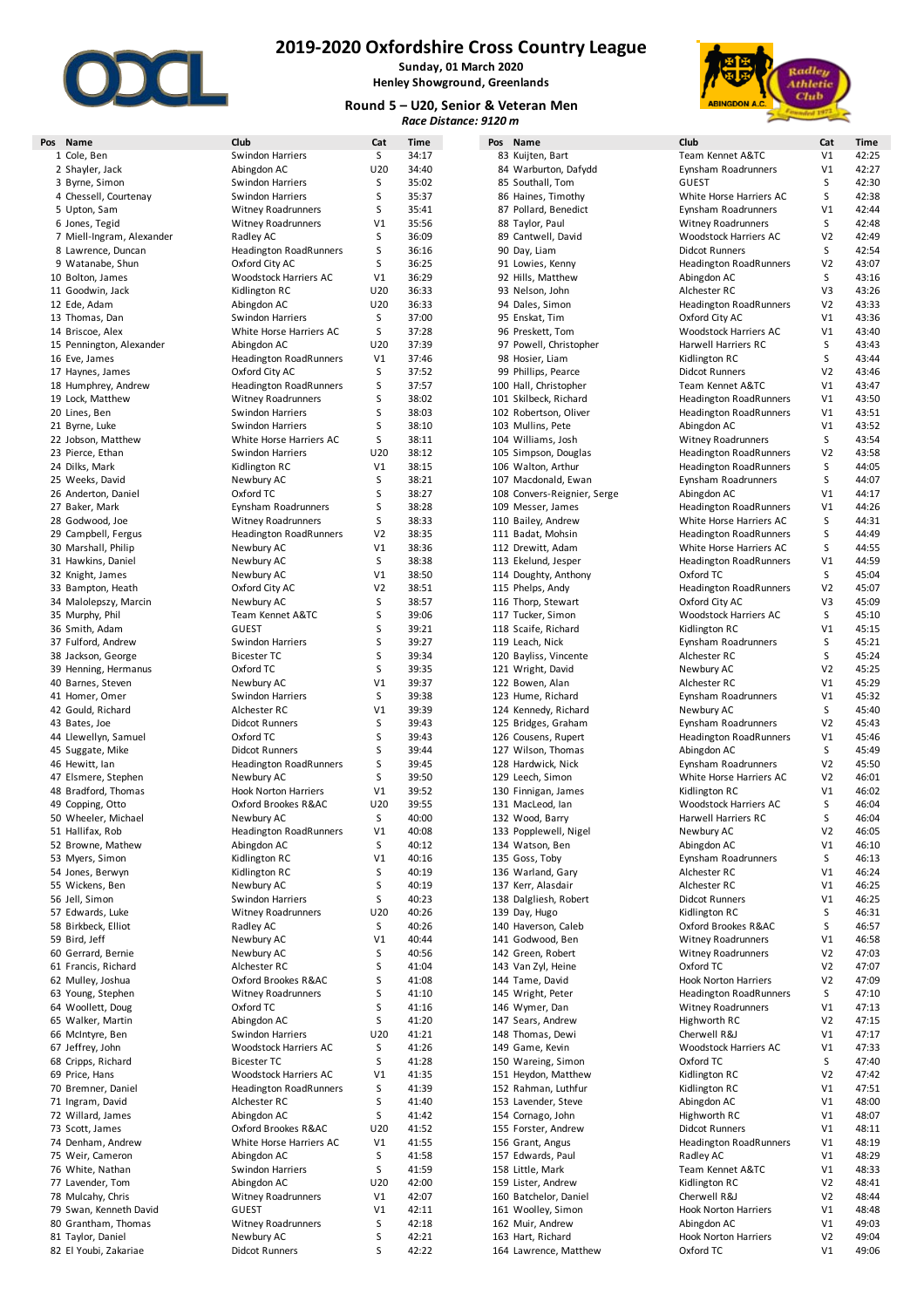

**Sunday, 01 March 2020 Henley Showground, Greenlands**

#### **Round 5 – U20, Senior & Veteran Men** *Race Distance: 9120 m*



| s Name                    | Club                          | Cat            | Time  | Pos Name                    | Club                          | Cat            | Time                                                                 |
|---------------------------|-------------------------------|----------------|-------|-----------------------------|-------------------------------|----------------|----------------------------------------------------------------------|
| 1 Cole, Ben               | <b>Swindon Harriers</b>       | S              | 34:17 | 83 Kuijten, Bart            | Team Kennet A&TC              | V1             | 42:25                                                                |
| 2 Shayler, Jack           | Abingdon AC                   | U20            | 34:40 | 84 Warburton, Dafydd        | Eynsham Roadrunners           | V <sub>1</sub> | 42:27                                                                |
| 3 Byrne, Simon            | Swindon Harriers              | S              | 35:02 | 85 Southall, Tom            | <b>GUEST</b>                  | S              | 42:30                                                                |
| 4 Chessell, Courtenay     | Swindon Harriers              | S              | 35:37 | 86 Haines, Timothy          | White Horse Harriers AC       | S              | 42:38                                                                |
| 5 Upton, Sam              | <b>Witney Roadrunners</b>     | S              | 35:41 | 87 Pollard, Benedict        | Eynsham Roadrunners           | V <sub>1</sub> | 42:44                                                                |
| 6 Jones, Tegid            | <b>Witney Roadrunners</b>     | V1             | 35:56 | 88 Taylor, Paul             | <b>Witney Roadrunners</b>     | S              | 42:48                                                                |
| 7 Miell-Ingram, Alexander | Radley AC                     | S              | 36:09 | 89 Cantwell, David          | Woodstock Harriers AC         | V <sub>2</sub> | 42:49                                                                |
| 8 Lawrence, Duncan        | <b>Headington RoadRunners</b> | S              | 36:16 | 90 Day, Liam                | <b>Didcot Runners</b>         | S              | 42:54                                                                |
|                           |                               |                | 36:25 |                             |                               | V <sub>2</sub> | 43:07                                                                |
| 9 Watanabe, Shun          | Oxford City AC                | S              |       | 91 Lowies, Kenny            | <b>Headington RoadRunners</b> |                |                                                                      |
| 10 Bolton, James          | Woodstock Harriers AC         | V1             | 36:29 | 92 Hills, Matthew           | Abingdon AC                   | S              | 43:16                                                                |
| 11 Goodwin, Jack          | Kidlington RC                 | U20            | 36:33 | 93 Nelson, John             | Alchester RC                  | V3             | 43:26                                                                |
| 12 Ede, Adam              | Abingdon AC                   | U20            | 36:33 | 94 Dales, Simon             | <b>Headington RoadRunners</b> | V <sub>2</sub> | 43:33                                                                |
| 13 Thomas, Dan            | Swindon Harriers              | S              | 37:00 | 95 Enskat, Tim              | Oxford City AC                | V1             | 43:36                                                                |
| 14 Briscoe, Alex          | White Horse Harriers AC       | S              | 37:28 | 96 Preskett, Tom            | Woodstock Harriers AC         | V1             | 43:40                                                                |
|                           |                               |                |       |                             |                               |                |                                                                      |
| 15 Pennington, Alexander  | Abingdon AC                   | U20            | 37:39 | 97 Powell, Christopher      | Harwell Harriers RC           | S              | 43:43                                                                |
| 16 Eve, James             | <b>Headington RoadRunners</b> | V1             | 37:46 | 98 Hosier, Liam             | Kidlington RC                 | S              | 43:44                                                                |
| 17 Haynes, James          | Oxford City AC                | S              | 37:52 | 99 Phillips, Pearce         | <b>Didcot Runners</b>         | V <sub>2</sub> | 43:46                                                                |
| 18 Humphrey, Andrew       | <b>Headington RoadRunners</b> | S              | 37:57 | 100 Hall, Christopher       | Team Kennet A&TC              | V1             | 43:47                                                                |
| 19 Lock, Matthew          | <b>Witney Roadrunners</b>     | S              | 38:02 | 101 Skilbeck, Richard       | <b>Headington RoadRunners</b> | V1             | 43:50                                                                |
| 20 Lines, Ben             | Swindon Harriers              | S              | 38:03 | 102 Robertson, Oliver       | <b>Headington RoadRunners</b> | V1             | 43:51                                                                |
|                           |                               |                |       |                             |                               |                |                                                                      |
| 21 Byrne, Luke            | Swindon Harriers              | S              | 38:10 | 103 Mullins, Pete           | Abingdon AC                   | V1             | 43:52                                                                |
| 22 Jobson, Matthew        | White Horse Harriers AC       | S              | 38:11 | 104 Williams, Josh          | <b>Witney Roadrunners</b>     | S              | 43:54                                                                |
| 23 Pierce, Ethan          | Swindon Harriers              | U20            | 38:12 | 105 Simpson, Douglas        | <b>Headington RoadRunners</b> | V2             | 43:58                                                                |
| 24 Dilks, Mark            | Kidlington RC                 | V1             | 38:15 | 106 Walton, Arthur          | <b>Headington RoadRunners</b> | S              | 44:05                                                                |
| 25 Weeks, David           | Newbury AC                    | S              | 38:21 | 107 Macdonald, Ewan         | Eynsham Roadrunners           | S              | 44:07                                                                |
|                           |                               |                |       |                             |                               |                | 44:17                                                                |
| 26 Anderton, Daniel       | Oxford TC                     | S              | 38:27 | 108 Convers-Reignier, Serge | Abingdon AC                   | V <sub>1</sub> |                                                                      |
| 27 Baker, Mark            | Eynsham Roadrunners           | S              | 38:28 | 109 Messer, James           | Headington RoadRunners        | V <sub>1</sub> | 44:26                                                                |
| 28 Godwood, Joe           | <b>Witney Roadrunners</b>     | S              | 38:33 | 110 Bailey, Andrew          | White Horse Harriers AC       | S              | 44:31                                                                |
| 29 Campbell, Fergus       | <b>Headington RoadRunners</b> | V <sub>2</sub> | 38:35 | 111 Badat, Mohsin           | <b>Headington RoadRunners</b> | S              | 44:49                                                                |
| 30 Marshall, Philip       | Newbury AC                    | V1             | 38:36 | 112 Drewitt, Adam           | White Horse Harriers AC       | S              | 44:55                                                                |
|                           |                               | S              | 38:38 |                             | <b>Headington RoadRunners</b> |                | 44:59                                                                |
| 31 Hawkins, Daniel        | Newbury AC                    |                |       | 113 Ekelund, Jesper         |                               | V1             |                                                                      |
| 32 Knight, James          | Newbury AC                    | V1             | 38:50 | 114 Doughty, Anthony        | Oxford TC                     | S              | 45:04                                                                |
| 33 Bampton, Heath         | Oxford City AC                | V <sub>2</sub> | 38:51 | 115 Phelps, Andy            | <b>Headington RoadRunners</b> | V2             | 45:07                                                                |
| 34 Malolepszy, Marcin     | Newbury AC                    | S              | 38:57 | 116 Thorp, Stewart          | Oxford City AC                | V3             | 45:09                                                                |
| 35 Murphy, Phil           | Team Kennet A&TC              | S              | 39:06 | 117 Tucker, Simon           | Woodstock Harriers AC         | S              | 45:10                                                                |
| 36 Smith, Adam            | GUEST                         | S              | 39:21 | 118 Scaife, Richard         | Kidlington RC                 | V1             | 45:15                                                                |
|                           |                               |                |       |                             |                               |                | 45:21                                                                |
| 37 Fulford, Andrew        | Swindon Harriers              | S              | 39:27 | 119 Leach, Nick             | Eynsham Roadrunners           | S              |                                                                      |
| 38 Jackson, George        | <b>Bicester TC</b>            | S              | 39:34 | 120 Bayliss, Vincente       | Alchester RC                  | S              | 45:24                                                                |
| 39 Henning, Hermanus      | Oxford TC                     | S              | 39:35 | 121 Wright, David           | Newbury AC                    | V <sub>2</sub> | 45:25                                                                |
| 40 Barnes, Steven         | Newbury AC                    | V1             | 39:37 | 122 Bowen, Alan             | Alchester RC                  | V1             | 45:29                                                                |
| 41 Homer, Omer            | Swindon Harriers              | S              | 39:38 | 123 Hume, Richard           | Eynsham Roadrunners           | V1             | 45:32                                                                |
| 42 Gould, Richard         | Alchester RC                  | V1             | 39:39 | 124 Kennedy, Richard        | Newbury AC                    | S              | 45:40                                                                |
|                           |                               |                |       |                             |                               |                |                                                                      |
| 43 Bates, Joe             | <b>Didcot Runners</b>         | S              | 39:43 | 125 Bridges, Graham         | Eynsham Roadrunners           | V <sub>2</sub> | 45:43                                                                |
| 44 Llewellyn, Samuel      | Oxford TC                     | S              | 39:43 | 126 Cousens, Rupert         | <b>Headington RoadRunners</b> | V1             | 45:46                                                                |
| 45 Suggate, Mike          | <b>Didcot Runners</b>         | S              | 39:44 | 127 Wilson, Thomas          | Abingdon AC                   | S              | 45:49                                                                |
| 46 Hewitt, Ian            | <b>Headington RoadRunners</b> | S              | 39:45 | 128 Hardwick, Nick          | Eynsham Roadrunners           | V <sub>2</sub> | 45:50                                                                |
| 47 Elsmere, Stephen       | Newbury AC                    | S              | 39:50 | 129 Leech, Simon            | White Horse Harriers AC       | V <sub>2</sub> | 46:01                                                                |
| 48 Bradford, Thomas       |                               |                |       |                             |                               |                | 46:02                                                                |
|                           | <b>Hook Norton Harriers</b>   | V1             | 39:52 | 130 Finnigan, James         | Kidlington RC                 | V <sub>1</sub> |                                                                      |
| 49 Copping, Otto          | Oxford Brookes R&AC           | U20            | 39:55 | 131 MacLeod, lan            | Woodstock Harriers AC         | S              | 46:04                                                                |
| 50 Wheeler, Michael       | Newbury AC                    | S              | 40:00 | 132 Wood, Barry             | Harwell Harriers RC           | S              | 46:04                                                                |
| 51 Hallifax, Rob          | <b>Headington RoadRunners</b> | V1             | 40:08 | 133 Popplewell, Nigel       | Newbury AC                    | V2             | 46:05                                                                |
| 52 Browne, Mathew         | Abingdon AC                   | S              | 40:12 | 134 Watson, Ben             | Abingdon AC                   | V1             | 46:10                                                                |
| 53 Myers, Simon           | Kidlington RC                 | V1             | 40:16 | 135 Goss, Toby              | Eynsham Roadrunners           | S              | 46:13                                                                |
|                           | Kidlington RC                 |                |       |                             |                               |                |                                                                      |
| 54 Jones, Berwyn          |                               | S              | 40:19 | 136 Warland, Gary           | Alchester RC                  | V <sub>1</sub> | 46:24                                                                |
| 55 Wickens, Ben           | Newbury AC                    | S              | 40:19 | 137 Kerr, Alasdair          | Alchester RC                  | V1             | 46:25                                                                |
| 56 Jell, Simon            | <b>Swindon Harriers</b>       | S              | 40:23 | 138 Dalgliesh, Robert       | <b>Didcot Runners</b>         | V1             | 46:25                                                                |
| 57 Edwards, Luke          | <b>Witney Roadrunners</b>     | U20            | 40:26 | 139 Day, Hugo               | Kidlington RC                 | S              | 46:31                                                                |
| 58 Birkbeck, Elliot       | Radley AC                     | S              | 40:26 | 140 Haverson, Caleb         | Oxford Brookes R&AC           | S              | 46:57                                                                |
| 59 Bird, Jeff             | Newbury AC                    | V1             | 40:44 | 141 Godwood, Ben            | <b>Witney Roadrunners</b>     | V1             | 46:58                                                                |
| 60 Gerrard, Bernie        | Newbury AC                    | S              | 40:56 | 142 Green, Robert           | <b>Witney Roadrunners</b>     | V <sub>2</sub> | 47:03                                                                |
|                           |                               |                |       |                             |                               |                |                                                                      |
| 61 Francis, Richard       | Alchester RC                  | S              | 41:04 | 143 Van Zyl, Heine          | Oxford TC                     | V2             | 47:07                                                                |
| 62 Mulley, Joshua         | Oxford Brookes R&AC           | S              | 41:08 | 144 Tame, David             | <b>Hook Norton Harriers</b>   | V <sub>2</sub> | 47:09                                                                |
| 63 Young, Stephen         | <b>Witney Roadrunners</b>     | S              | 41:10 | 145 Wright, Peter           | <b>Headington RoadRunners</b> | S              | 47:10                                                                |
| 64 Woollett, Doug         | Oxford TC                     | S              | 41:16 | 146 Wymer, Dan              | <b>Witney Roadrunners</b>     | V1             | 47:13                                                                |
| 65 Walker, Martin         | Abingdon AC                   | S              | 41:20 | 147 Sears, Andrew           | Highworth RC                  | V <sub>2</sub> | 47:15                                                                |
| 66 McIntyre, Ben          | Swindon Harriers              | U20            | 41:21 | 148 Thomas, Dewi            | Cherwell R&J                  | V1             | 47:17                                                                |
| 67 Jeffrey, John          | Woodstock Harriers AC         | S              | 41:26 | 149 Game, Kevin             | Woodstock Harriers AC         | V <sub>1</sub> | 47:33                                                                |
|                           |                               |                |       |                             |                               |                |                                                                      |
| 68 Cripps, Richard        | <b>Bicester TC</b>            | S              | 41:28 | 150 Wareing, Simon          | Oxford TC                     | S              | 47:40                                                                |
| 69 Price, Hans            | Woodstock Harriers AC         | V1             | 41:35 | 151 Heydon, Matthew         | Kidlington RC                 | V <sub>2</sub> | 47:42                                                                |
| 70 Bremner, Daniel        | <b>Headington RoadRunners</b> | S              | 41:39 | 152 Rahman, Luthfur         | Kidlington RC                 | V1             | 47:51                                                                |
| 71 Ingram, David          | Alchester RC                  | S              | 41:40 | 153 Lavender, Steve         | Abingdon AC                   | V1             | 48:00                                                                |
|                           |                               | S              | 41:42 | 154 Cornago, John           | Highworth RC                  | V1             | 48:07                                                                |
|                           |                               |                |       |                             | <b>Didcot Runners</b>         |                | 48:11                                                                |
| 72 Willard, James         | Abingdon AC                   |                |       | 155 Forster, Andrew         |                               | V1             |                                                                      |
| 73 Scott, James           | Oxford Brookes R&AC           | U20            | 41:52 | 156 Grant, Angus            |                               |                |                                                                      |
| 74 Denham, Andrew         | White Horse Harriers AC       | V1             | 41:55 |                             | <b>Headington RoadRunners</b> | V1             |                                                                      |
| 75 Weir, Cameron          | Abingdon AC                   | S              | 41:58 | 157 Edwards, Paul           | Radley AC                     | V1             |                                                                      |
| 76 White, Nathan          | Swindon Harriers              | S              | 41:59 | 158 Little, Mark            | Team Kennet A&TC              | V1             |                                                                      |
|                           |                               |                |       |                             |                               |                |                                                                      |
| 77 Lavender, Tom          | Abingdon AC                   | U20            | 42:00 | 159 Lister, Andrew          | Kidlington RC                 | V <sub>2</sub> |                                                                      |
| 78 Mulcahy, Chris         | <b>Witney Roadrunners</b>     | V1             | 42:07 | 160 Batchelor, Daniel       | Cherwell R&J                  | V <sub>2</sub> |                                                                      |
| 79 Swan, Kenneth David    | <b>GUEST</b>                  | V1             | 42:11 | 161 Woolley, Simon          | <b>Hook Norton Harriers</b>   | V1             |                                                                      |
| 80 Grantham, Thomas       | <b>Witney Roadrunners</b>     | S              | 42:18 | 162 Muir, Andrew            | Abingdon AC                   | V1             |                                                                      |
| 81 Taylor, Daniel         | Newbury AC                    | S              | 42:21 | 163 Hart, Richard           | <b>Hook Norton Harriers</b>   | V <sub>2</sub> | 48:19<br>48:29<br>48:33<br>48:41<br>48:44<br>48:48<br>49:03<br>49:04 |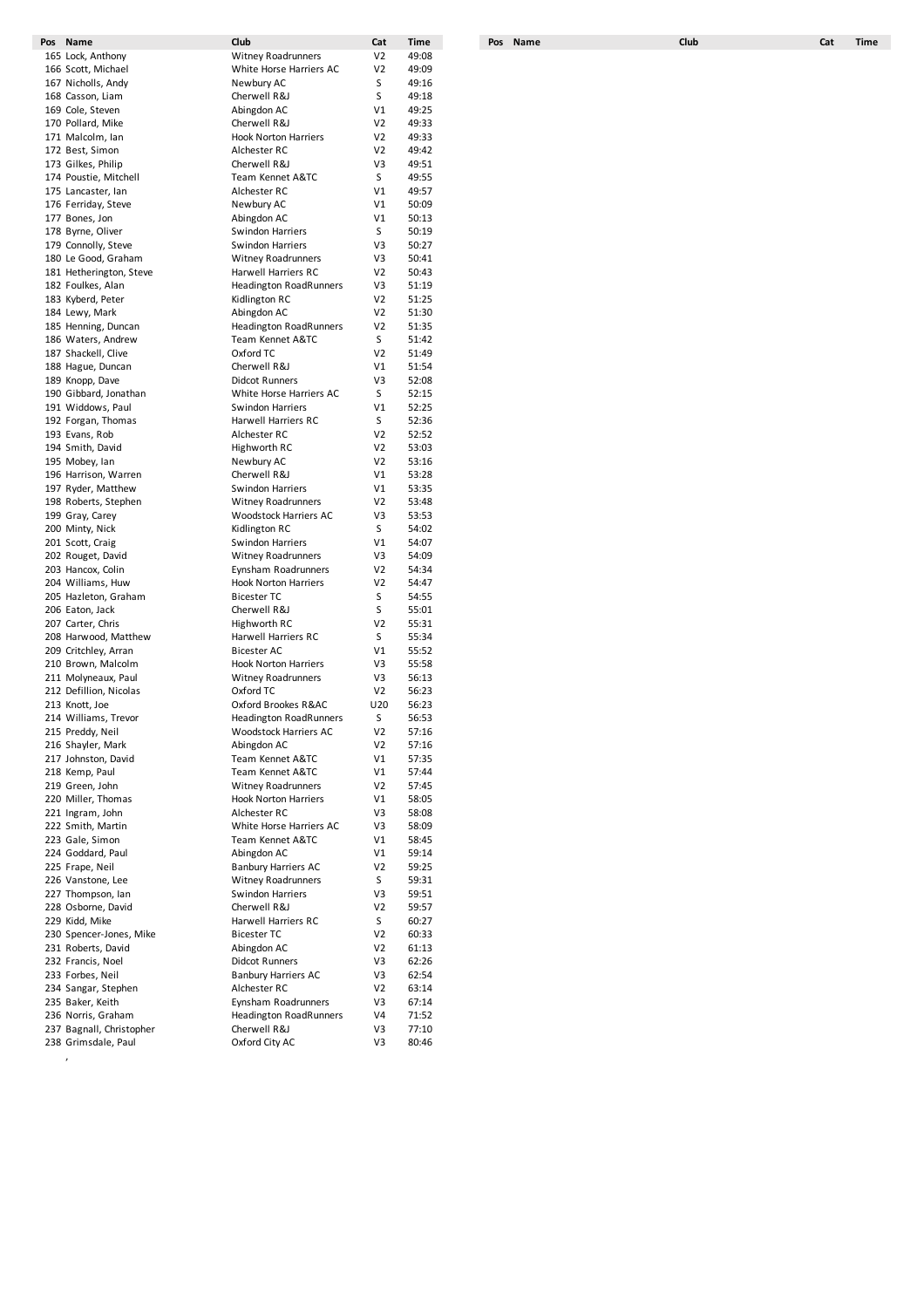| Pos Name                 | Club                          | Cat            | <b>Time</b> | Pos Name | Club | Cat | <b>Time</b> |
|--------------------------|-------------------------------|----------------|-------------|----------|------|-----|-------------|
| 165 Lock, Anthony        | <b>Witney Roadrunners</b>     | V <sub>2</sub> | 49:08       |          |      |     |             |
| 166 Scott, Michael       | White Horse Harriers AC       | V <sub>2</sub> | 49:09       |          |      |     |             |
| 167 Nicholls, Andy       | Newbury AC                    | S              | 49:16       |          |      |     |             |
| 168 Casson, Liam         | Cherwell R&J                  | S              | 49:18       |          |      |     |             |
| 169 Cole, Steven         | Abingdon AC                   | V1             | 49:25       |          |      |     |             |
| 170 Pollard, Mike        | Cherwell R&J                  | V <sub>2</sub> | 49:33       |          |      |     |             |
| 171 Malcolm, Ian         | <b>Hook Norton Harriers</b>   | V <sub>2</sub> | 49:33       |          |      |     |             |
| 172 Best, Simon          | Alchester RC                  | V <sub>2</sub> | 49:42       |          |      |     |             |
| 173 Gilkes, Philip       | Cherwell R&J                  | V3             | 49:51       |          |      |     |             |
| 174 Poustie, Mitchell    | Team Kennet A&TC              | S              | 49:55       |          |      |     |             |
| 175 Lancaster, lan       | Alchester RC                  | V1             | 49:57       |          |      |     |             |
|                          |                               | V1             | 50:09       |          |      |     |             |
| 176 Ferriday, Steve      | Newbury AC                    |                |             |          |      |     |             |
| 177 Bones, Jon           | Abingdon AC                   | V1             | 50:13       |          |      |     |             |
| 178 Byrne, Oliver        | Swindon Harriers              | S              | 50:19       |          |      |     |             |
| 179 Connolly, Steve      | Swindon Harriers              | V3             | 50:27       |          |      |     |             |
| 180 Le Good, Graham      | <b>Witney Roadrunners</b>     | V3             | 50:41       |          |      |     |             |
| 181 Hetherington, Steve  | Harwell Harriers RC           | V <sub>2</sub> | 50:43       |          |      |     |             |
| 182 Foulkes, Alan        | <b>Headington RoadRunners</b> | V3             | 51:19       |          |      |     |             |
| 183 Kyberd, Peter        | Kidlington RC                 | V <sub>2</sub> | 51:25       |          |      |     |             |
| 184 Lewy, Mark           | Abingdon AC                   | V <sub>2</sub> | 51:30       |          |      |     |             |
| 185 Henning, Duncan      | Headington RoadRunners        | V <sub>2</sub> | 51:35       |          |      |     |             |
| 186 Waters, Andrew       | Team Kennet A&TC              | S              | 51:42       |          |      |     |             |
| 187 Shackell, Clive      | Oxford TC                     | V <sub>2</sub> | 51:49       |          |      |     |             |
| 188 Hague, Duncan        | Cherwell R&J                  | V1             | 51:54       |          |      |     |             |
| 189 Knopp, Dave          | <b>Didcot Runners</b>         | V3             | 52:08       |          |      |     |             |
| 190 Gibbard, Jonathan    | White Horse Harriers AC       | S              | 52:15       |          |      |     |             |
| 191 Widdows, Paul        | Swindon Harriers              | V1             | 52:25       |          |      |     |             |
| 192 Forgan, Thomas       | Harwell Harriers RC           | S              | 52:36       |          |      |     |             |
| 193 Evans, Rob           | Alchester RC                  | V <sub>2</sub> | 52:52       |          |      |     |             |
| 194 Smith, David         | Highworth RC                  | V <sub>2</sub> | 53:03       |          |      |     |             |
| 195 Mobey, lan           | Newbury AC                    | V <sub>2</sub> | 53:16       |          |      |     |             |
| 196 Harrison, Warren     | Cherwell R&J                  | V1             | 53:28       |          |      |     |             |
| 197 Ryder, Matthew       | Swindon Harriers              | V1             | 53:35       |          |      |     |             |
| 198 Roberts, Stephen     | <b>Witney Roadrunners</b>     | V <sub>2</sub> | 53:48       |          |      |     |             |
| 199 Gray, Carey          | Woodstock Harriers AC         | V3             | 53:53       |          |      |     |             |
| 200 Minty, Nick          | Kidlington RC                 | S              | 54:02       |          |      |     |             |
| 201 Scott, Craig         | Swindon Harriers              | V1             | 54:07       |          |      |     |             |
| 202 Rouget, David        | <b>Witney Roadrunners</b>     | V3             | 54:09       |          |      |     |             |
| 203 Hancox, Colin        | Eynsham Roadrunners           | V <sub>2</sub> | 54:34       |          |      |     |             |
| 204 Williams, Huw        | <b>Hook Norton Harriers</b>   | V <sub>2</sub> | 54:47       |          |      |     |             |
| 205 Hazleton, Graham     | <b>Bicester TC</b>            | S              | 54:55       |          |      |     |             |
| 206 Eaton, Jack          | Cherwell R&J                  | S              | 55:01       |          |      |     |             |
| 207 Carter, Chris        | Highworth RC                  | V <sub>2</sub> | 55:31       |          |      |     |             |
| 208 Harwood, Matthew     | Harwell Harriers RC           | S              | 55:34       |          |      |     |             |
| 209 Critchley, Arran     | <b>Bicester AC</b>            | V1             | 55:52       |          |      |     |             |
| 210 Brown, Malcolm       | <b>Hook Norton Harriers</b>   | V3             | 55:58       |          |      |     |             |
| 211 Molyneaux, Paul      | Witney Roadrunners            | V3             | 56:13       |          |      |     |             |
| 212 Defillion, Nicolas   | Oxford TC                     | V <sub>2</sub> | 56:23       |          |      |     |             |
|                          |                               |                |             |          |      |     |             |
| 213 Knott, Joe           | Oxford Brookes R&AC           | U20            | 56:23       |          |      |     |             |
| 214 Williams, Trevor     | <b>Headington RoadRunners</b> | S              | 56:53       |          |      |     |             |
| 215 Preddy, Neil         | Woodstock Harriers AC         | V2             | 57:16       |          |      |     |             |
| 216 Shayler, Mark        | Abingdon AC                   | V <sub>2</sub> | 57:16       |          |      |     |             |
| 217 Johnston, David      | Team Kennet A&TC              | V1             | 57:35       |          |      |     |             |
| 218 Kemp, Paul           | Team Kennet A&TC              | V1             | 57:44       |          |      |     |             |
| 219 Green, John          | <b>Witney Roadrunners</b>     | V <sub>2</sub> | 57:45       |          |      |     |             |
| 220 Miller, Thomas       | <b>Hook Norton Harriers</b>   | V1             | 58:05       |          |      |     |             |
| 221 Ingram, John         | Alchester RC                  | V3             | 58:08       |          |      |     |             |
| 222 Smith, Martin        | White Horse Harriers AC       | V3             | 58:09       |          |      |     |             |
| 223 Gale, Simon          | Team Kennet A&TC              | V1             | 58:45       |          |      |     |             |
| 224 Goddard, Paul        | Abingdon AC                   | V1             | 59:14       |          |      |     |             |
| 225 Frape, Neil          | <b>Banbury Harriers AC</b>    | V <sub>2</sub> | 59:25       |          |      |     |             |
| 226 Vanstone, Lee        | <b>Witney Roadrunners</b>     | S              | 59:31       |          |      |     |             |
| 227 Thompson, Ian        | Swindon Harriers              | V3             | 59:51       |          |      |     |             |
| 228 Osborne, David       | Cherwell R&J                  | V <sub>2</sub> | 59:57       |          |      |     |             |
| 229 Kidd, Mike           | Harwell Harriers RC           | S              | 60:27       |          |      |     |             |
| 230 Spencer-Jones, Mike  | <b>Bicester TC</b>            | V <sub>2</sub> | 60:33       |          |      |     |             |
| 231 Roberts, David       | Abingdon AC                   | V <sub>2</sub> | 61:13       |          |      |     |             |
| 232 Francis, Noel        | <b>Didcot Runners</b>         | V3             | 62:26       |          |      |     |             |
| 233 Forbes, Neil         | <b>Banbury Harriers AC</b>    | V3             | 62:54       |          |      |     |             |
| 234 Sangar, Stephen      | Alchester RC                  | V <sub>2</sub> | 63:14       |          |      |     |             |
| 235 Baker, Keith         | Eynsham Roadrunners           | V3             | 67:14       |          |      |     |             |
| 236 Norris, Graham       | <b>Headington RoadRunners</b> | V <sub>4</sub> | 71:52       |          |      |     |             |
| 237 Bagnall, Christopher | Cherwell R&J                  | V3             | 77:10       |          |      |     |             |
| 238 Grimsdale, Paul      | Oxford City AC                | V3             | 80:46       |          |      |     |             |
| $\prime$                 |                               |                |             |          |      |     |             |
|                          |                               |                |             |          |      |     |             |